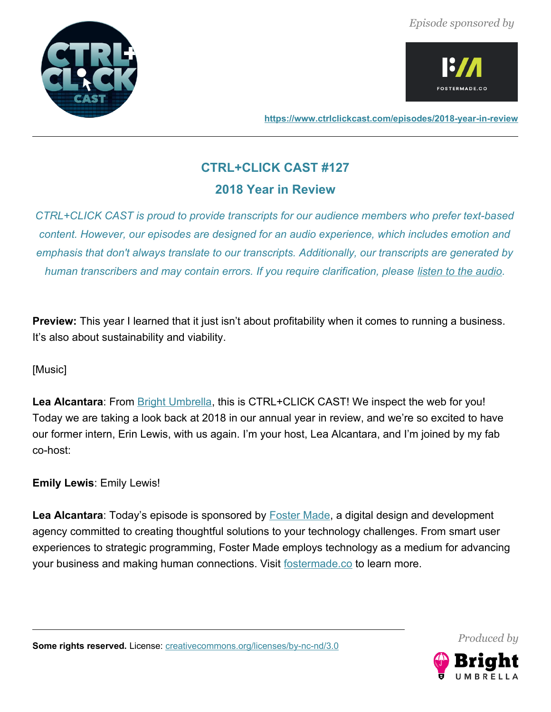



**<https://www.ctrlclickcast.com/episodes/2018-year-in-review>**

# **CTRL+CLICK CAST #127**

# **2018 Year in Review**

*CTRL+CLICK CAST is proud to provide transcripts for our audience members who prefer text-based content. However, our episodes are designed for an audio experience, which includes emotion and emphasis that don't always translate to our transcripts. Additionally, our transcripts are generated by human transcribers and may contain errors. If you require clarification, please [listen to the audio.](https://www.ctrlclickcast.com/episodes/2018-year-in-review)*

**Preview:** This year I learned that it just isn't about profitability when it comes to running a business. It's also about sustainability and viability.

# [Music]

Lea Alcantara: From **Bright Umbrella**, this is CTRL+CLICK CAST! We inspect the web for you! Today we are taking a look back at 2018 in our annual year in review, and we're so excited to have our former intern, Erin Lewis, with us again. I'm your host, Lea Alcantara, and I'm joined by my fab co-host:

**Emily Lewis**: Emily Lewis!

Lea Alcantara: Today's episode is sponsored by **Foster Made**, a digital design and development agency committed to creating thoughtful solutions to your technology challenges. From smart user experiences to strategic programming, Foster Made employs technology as a medium for advancing your business and making human connections. Visit [fostermade.co](http://fostermade.co/) to learn more.

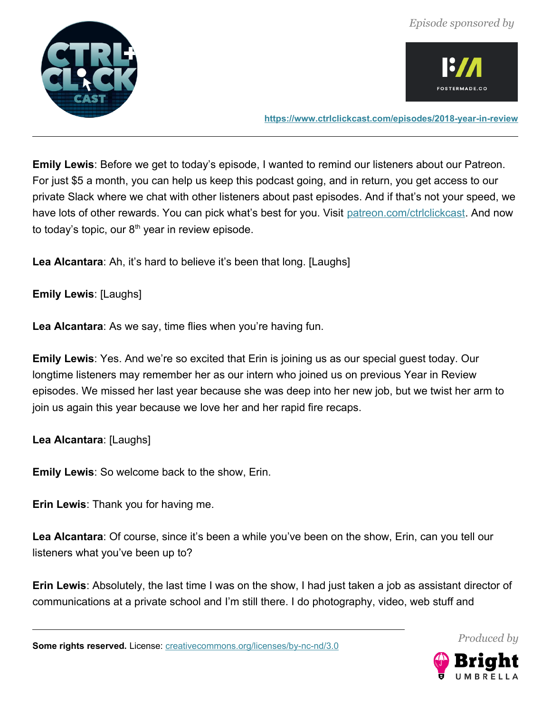



**<https://www.ctrlclickcast.com/episodes/2018-year-in-review>**

**Emily Lewis**: Before we get to today's episode, I wanted to remind our listeners about our Patreon. For just \$5 a month, you can help us keep this podcast going, and in return, you get access to our private Slack where we chat with other listeners about past episodes. And if that's not your speed, we have lots of other rewards. You can pick what's best for you. Visit [patreon.com/ctrlclickcast.](http://www.patreon.com/ctrlclickcast) And now to today's topic, our  $8<sup>th</sup>$  year in review episode.

**Lea Alcantara**: Ah, it's hard to believe it's been that long. [Laughs]

**Emily Lewis**: [Laughs]

**Lea Alcantara**: As we say, time flies when you're having fun.

**Emily Lewis**: Yes. And we're so excited that Erin is joining us as our special guest today. Our longtime listeners may remember her as our intern who joined us on previous Year in Review episodes. We missed her last year because she was deep into her new job, but we twist her arm to join us again this year because we love her and her rapid fire recaps.

**Lea Alcantara**: [Laughs]

**Emily Lewis**: So welcome back to the show, Erin.

**Erin Lewis**: Thank you for having me.

**Lea Alcantara**: Of course, since it's been a while you've been on the show, Erin, can you tell our listeners what you've been up to?

**Erin Lewis**: Absolutely, the last time I was on the show, I had just taken a job as assistant director of communications at a private school and I'm still there. I do photography, video, web stuff and

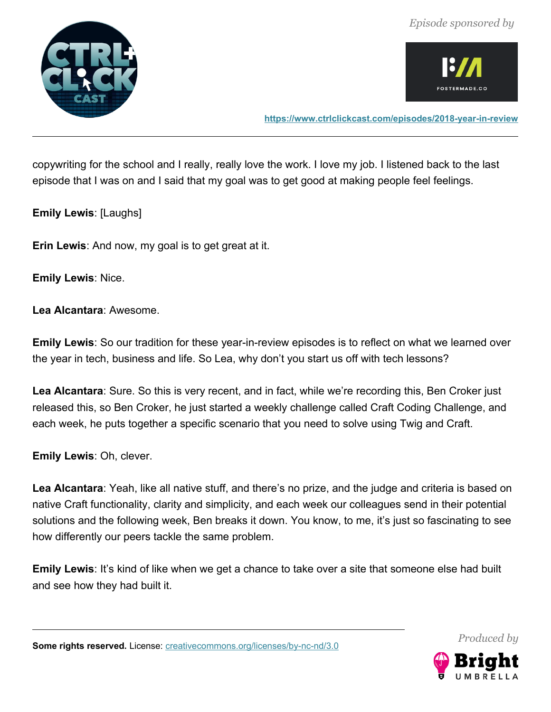



**<https://www.ctrlclickcast.com/episodes/2018-year-in-review>**

copywriting for the school and I really, really love the work. I love my job. I listened back to the last episode that I was on and I said that my goal was to get good at making people feel feelings.

**Emily Lewis**: [Laughs]

**Erin Lewis**: And now, my goal is to get great at it.

**Emily Lewis**: Nice.

**Lea Alcantara**: Awesome.

**Emily Lewis**: So our tradition for these year-in-review episodes is to reflect on what we learned over the year in tech, business and life. So Lea, why don't you start us off with tech lessons?

**Lea Alcantara**: Sure. So this is very recent, and in fact, while we're recording this, Ben Croker just released this, so Ben Croker, he just started a weekly challenge called Craft Coding Challenge, and each week, he puts together a specific scenario that you need to solve using Twig and Craft.

**Emily Lewis**: Oh, clever.

**Lea Alcantara**: Yeah, like all native stuff, and there's no prize, and the judge and criteria is based on native Craft functionality, clarity and simplicity, and each week our colleagues send in their potential solutions and the following week, Ben breaks it down. You know, to me, it's just so fascinating to see how differently our peers tackle the same problem.

**Emily Lewis**: It's kind of like when we get a chance to take over a site that someone else had built and see how they had built it.

Some rights reserved. License: [creativecommons.org/licenses/by-nc-nd/3.0](http://creativecommons.org/licenses/by-nc-nd/3.0/)

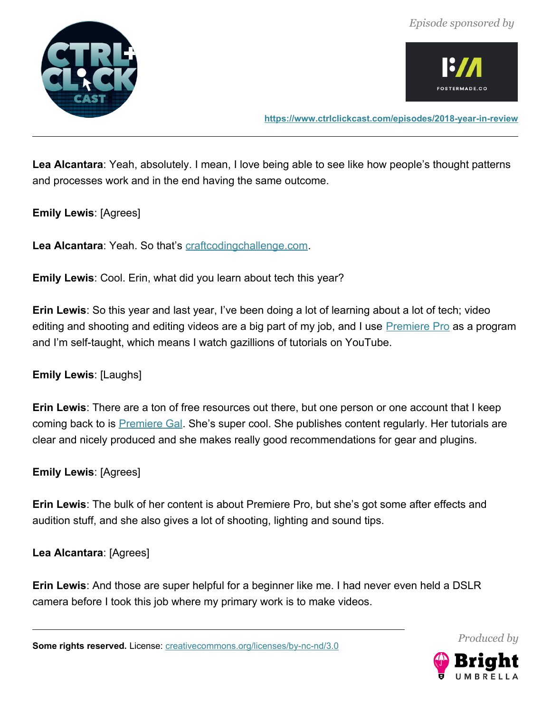



**<https://www.ctrlclickcast.com/episodes/2018-year-in-review>**

**Lea Alcantara**: Yeah, absolutely. I mean, I love being able to see like how people's thought patterns and processes work and in the end having the same outcome.

#### **Emily Lewis**: [Agrees]

Lea Alcantara: Yeah. So that's [craftcodingchallenge.com.](http://www.craftcodingchallenge.com/)

**Emily Lewis**: Cool. Erin, what did you learn about tech this year?

**Erin Lewis**: So this year and last year, I've been doing a lot of learning about a lot of tech; video editing and shooting and editing videos are a big part of my job, and I use **Premiere Pro** as a program and I'm self-taught, which means I watch gazillions of tutorials on YouTube.

# **Emily Lewis**: [Laughs]

**Erin Lewis**: There are a ton of free resources out there, but one person or one account that I keep coming back to is **Premiere Gal.** She's super cool. She publishes content regularly. Her tutorials are clear and nicely produced and she makes really good recommendations for gear and plugins.

**Emily Lewis**: [Agrees]

**Erin Lewis**: The bulk of her content is about Premiere Pro, but she's got some after effects and audition stuff, and she also gives a lot of shooting, lighting and sound tips.

**Lea Alcantara**: [Agrees]

**Erin Lewis**: And those are super helpful for a beginner like me. I had never even held a DSLR camera before I took this job where my primary work is to make videos.

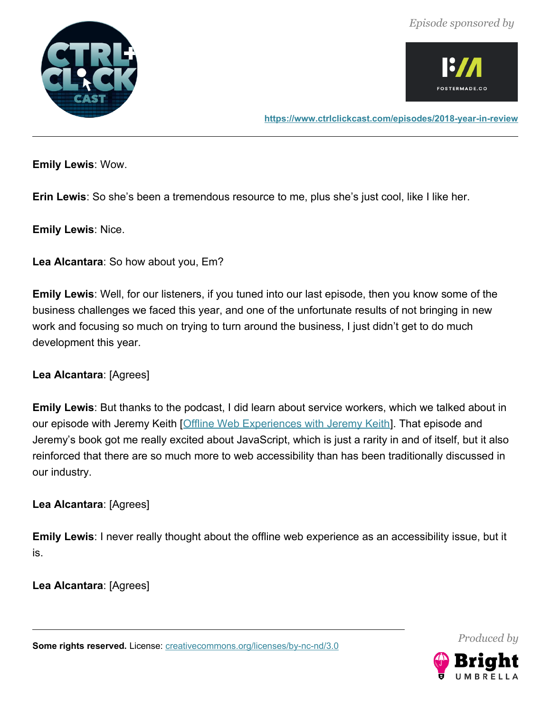



**<https://www.ctrlclickcast.com/episodes/2018-year-in-review>**

**Emily Lewis**: Wow.

**Erin Lewis**: So she's been a tremendous resource to me, plus she's just cool, like I like her.

**Emily Lewis**: Nice.

**Lea Alcantara**: So how about you, Em?

**Emily Lewis**: Well, for our listeners, if you tuned into our last episode, then you know some of the business challenges we faced this year, and one of the unfortunate results of not bringing in new work and focusing so much on trying to turn around the business, I just didn't get to do much development this year.

**Lea Alcantara**: [Agrees]

**Emily Lewis**: But thanks to the podcast, I did learn about service workers, which we talked about in our episode with Jeremy Keith [\[Offline Web Experiences with Jeremy Keith\]](https://ctrlclickcast.com/episodes/offline-web-experiences). That episode and Jeremy's book got me really excited about JavaScript, which is just a rarity in and of itself, but it also reinforced that there are so much more to web accessibility than has been traditionally discussed in our industry.

**Lea Alcantara**: [Agrees]

**Emily Lewis**: I never really thought about the offline web experience as an accessibility issue, but it is.

**Lea Alcantara**: [Agrees]

Some rights reserved. License: [creativecommons.org/licenses/by-nc-nd/3.0](http://creativecommons.org/licenses/by-nc-nd/3.0/)

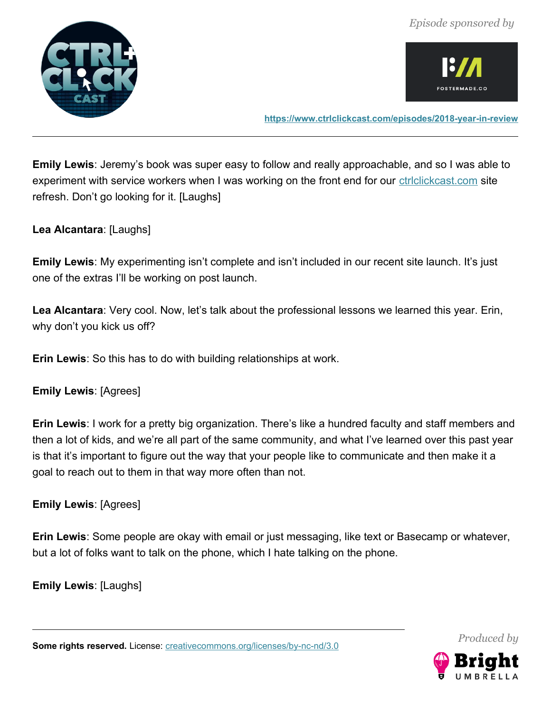



**<https://www.ctrlclickcast.com/episodes/2018-year-in-review>**

**Emily Lewis**: Jeremy's book was super easy to follow and really approachable, and so I was able to experiment with service workers when I was working on the front end for our **ctriclickcast.com** site refresh. Don't go looking for it. [Laughs]

**Lea Alcantara**: [Laughs]

**Emily Lewis**: My experimenting isn't complete and isn't included in our recent site launch. It's just one of the extras I'll be working on post launch.

**Lea Alcantara**: Very cool. Now, let's talk about the professional lessons we learned this year. Erin, why don't you kick us off?

**Erin Lewis**: So this has to do with building relationships at work.

**Emily Lewis**: [Agrees]

**Erin Lewis**: I work for a pretty big organization. There's like a hundred faculty and staff members and then a lot of kids, and we're all part of the same community, and what I've learned over this past year is that it's important to figure out the way that your people like to communicate and then make it a goal to reach out to them in that way more often than not.

**Emily Lewis**: [Agrees]

**Erin Lewis**: Some people are okay with email or just messaging, like text or Basecamp or whatever, but a lot of folks want to talk on the phone, which I hate talking on the phone.

**Emily Lewis**: [Laughs]

Some rights reserved. License: [creativecommons.org/licenses/by-nc-nd/3.0](http://creativecommons.org/licenses/by-nc-nd/3.0/)

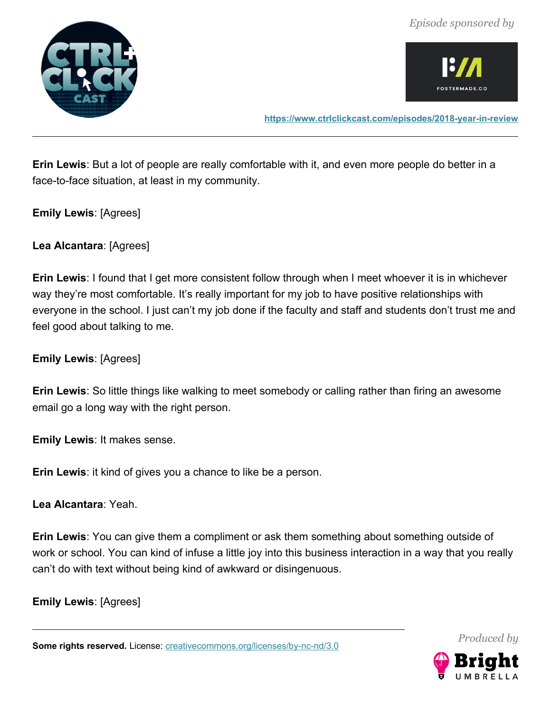*Episode sponsored by*





**Erin Lewis**: But a lot of people are really comfortable with it, and even more people do better in a face-to-face situation, at least in my community.

**Emily Lewis**: [Agrees]

**Lea Alcantara**: [Agrees]

**Erin Lewis**: I found that I get more consistent follow through when I meet whoever it is in whichever way they're most comfortable. It's really important for my job to have positive relationships with everyone in the school. I just can't my job done if the faculty and staff and students don't trust me and feel good about talking to me.

**Emily Lewis**: [Agrees]

**Erin Lewis**: So little things like walking to meet somebody or calling rather than firing an awesome email go a long way with the right person.

**Emily Lewis**: It makes sense.

**Erin Lewis**: it kind of gives you a chance to like be a person.

**Lea Alcantara**: Yeah.

**Erin Lewis**: You can give them a compliment or ask them something about something outside of work or school. You can kind of infuse a little joy into this business interaction in a way that you really can't do with text without being kind of awkward or disingenuous.

**Emily Lewis**: [Agrees]

Some rights reserved. License: [creativecommons.org/licenses/by-nc-nd/3.0](http://creativecommons.org/licenses/by-nc-nd/3.0/)

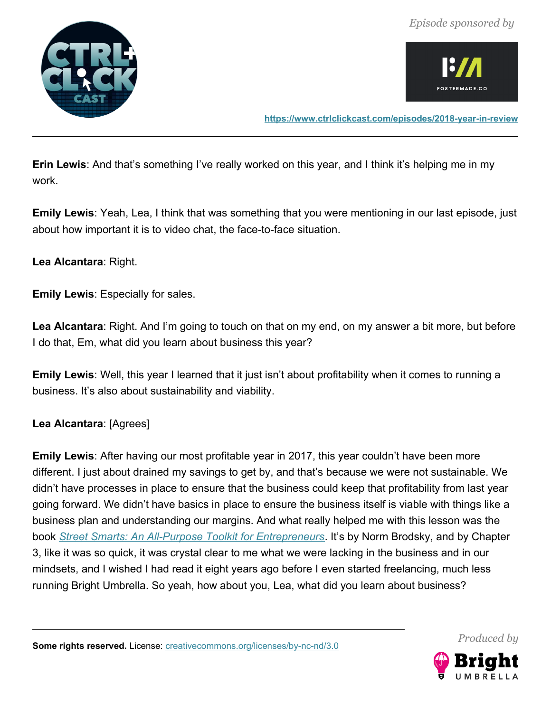*Episode sponsored by*





**Erin Lewis**: And that's something I've really worked on this year, and I think it's helping me in my work.

**Emily Lewis**: Yeah, Lea, I think that was something that you were mentioning in our last episode, just about how important it is to video chat, the face-to-face situation.

#### **Lea Alcantara**: Right.

**Emily Lewis**: Especially for sales.

**Lea Alcantara**: Right. And I'm going to touch on that on my end, on my answer a bit more, but before I do that, Em, what did you learn about business this year?

**Emily Lewis**: Well, this year I learned that it just isn't about profitability when it comes to running a business. It's also about sustainability and viability.

#### **Lea Alcantara**: [Agrees]

**Emily Lewis**: After having our most profitable year in 2017, this year couldn't have been more different. I just about drained my savings to get by, and that's because we were not sustainable. We didn't have processes in place to ensure that the business could keep that profitability from last year going forward. We didn't have basics in place to ensure the business itself is viable with things like a business plan and understanding our margins. And what really helped me with this lesson was the book *[Street Smarts: An All-Purpose Toolkit for Entrepreneurs](https://smile.amazon.com/Street-Smarts-All-Purpose-Tool-Entrepreneurs/dp/1591843200)*. It's by Norm Brodsky, and by Chapter 3, like it was so quick, it was crystal clear to me what we were lacking in the business and in our mindsets, and I wished I had read it eight years ago before I even started freelancing, much less running Bright Umbrella. So yeah, how about you, Lea, what did you learn about business?



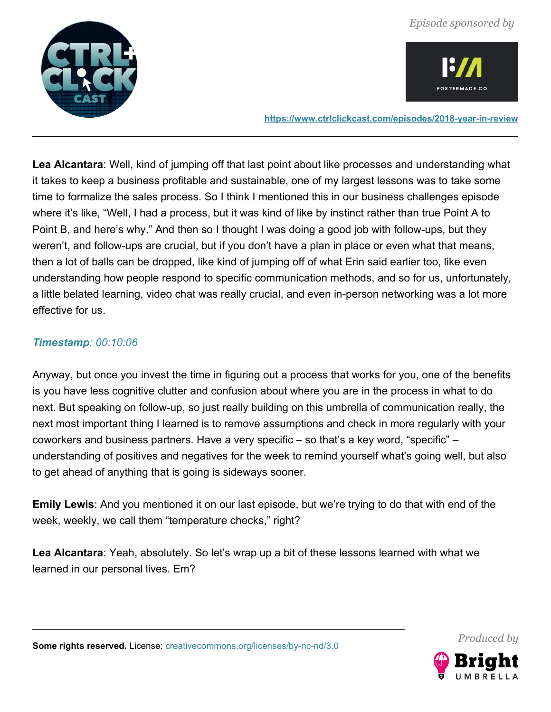



**<https://www.ctrlclickcast.com/episodes/2018-year-in-review>**

**Lea Alcantara**: Well, kind of jumping off that last point about like processes and understanding what it takes to keep a business profitable and sustainable, one of my largest lessons was to take some time to formalize the sales process. So I think I mentioned this in our business challenges episode where it's like, "Well, I had a process, but it was kind of like by instinct rather than true Point A to Point B, and here's why." And then so I thought I was doing a good job with follow-ups, but they weren't, and follow-ups are crucial, but if you don't have a plan in place or even what that means, then a lot of balls can be dropped, like kind of jumping off of what Erin said earlier too, like even understanding how people respond to specific communication methods, and so for us, unfortunately, a little belated learning, video chat was really crucial, and even in-person networking was a lot more effective for us.

#### *Timestamp: 00:10:06*

Anyway, but once you invest the time in figuring out a process that works for you, one of the benefits is you have less cognitive clutter and confusion about where you are in the process in what to do next. But speaking on follow-up, so just really building on this umbrella of communication really, the next most important thing I learned is to remove assumptions and check in more regularly with your coworkers and business partners. Have a very specific – so that's a key word, "specific" – understanding of positives and negatives for the week to remind yourself what's going well, but also to get ahead of anything that is going is sideways sooner.

**Emily Lewis**: And you mentioned it on our last episode, but we're trying to do that with end of the week, weekly, we call them "temperature checks," right?

**Lea Alcantara**: Yeah, absolutely. So let's wrap up a bit of these lessons learned with what we learned in our personal lives. Em?

*Produced by*

Some rights reserved. License: [creativecommons.org/licenses/by-nc-nd/3.0](http://creativecommons.org/licenses/by-nc-nd/3.0/)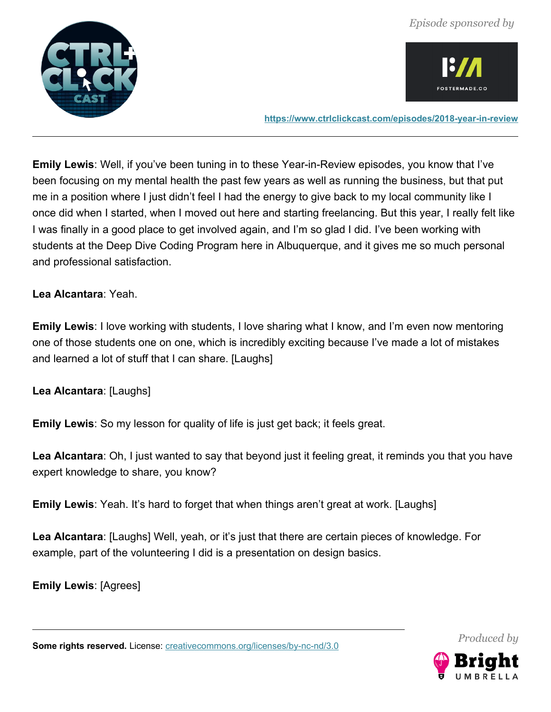



**<https://www.ctrlclickcast.com/episodes/2018-year-in-review>**

**Emily Lewis**: Well, if you've been tuning in to these Year-in-Review episodes, you know that I've been focusing on my mental health the past few years as well as running the business, but that put me in a position where I just didn't feel I had the energy to give back to my local community like I once did when I started, when I moved out here and starting freelancing. But this year, I really felt like I was finally in a good place to get involved again, and I'm so glad I did. I've been working with students at the Deep Dive Coding Program here in Albuquerque, and it gives me so much personal and professional satisfaction.

#### **Lea Alcantara**: Yeah.

**Emily Lewis**: I love working with students, I love sharing what I know, and I'm even now mentoring one of those students one on one, which is incredibly exciting because I've made a lot of mistakes and learned a lot of stuff that I can share. [Laughs]

**Lea Alcantara**: [Laughs]

**Emily Lewis**: So my lesson for quality of life is just get back; it feels great.

**Lea Alcantara**: Oh, I just wanted to say that beyond just it feeling great, it reminds you that you have expert knowledge to share, you know?

**Emily Lewis**: Yeah. It's hard to forget that when things aren't great at work. [Laughs]

**Lea Alcantara**: [Laughs] Well, yeah, or it's just that there are certain pieces of knowledge. For example, part of the volunteering I did is a presentation on design basics.

**Emily Lewis**: [Agrees]

Some rights reserved. License: [creativecommons.org/licenses/by-nc-nd/3.0](http://creativecommons.org/licenses/by-nc-nd/3.0/)

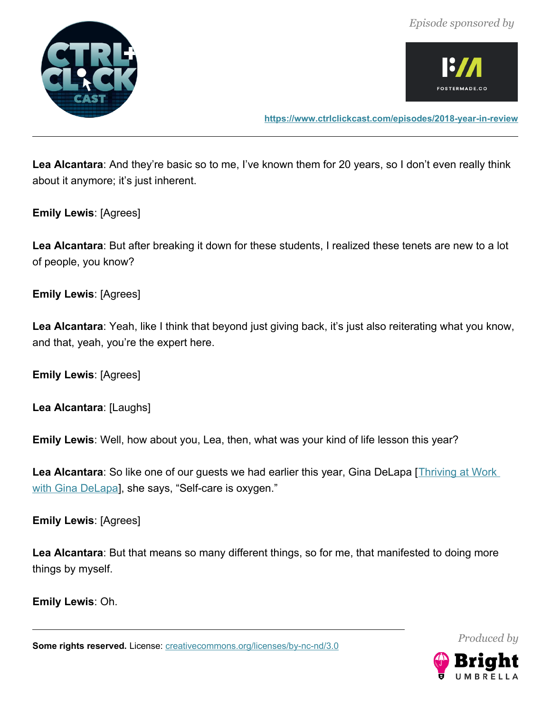



**<https://www.ctrlclickcast.com/episodes/2018-year-in-review>**

**Lea Alcantara**: And they're basic so to me, I've known them for 20 years, so I don't even really think about it anymore; it's just inherent.

**Emily Lewis**: [Agrees]

**Lea Alcantara**: But after breaking it down for these students, I realized these tenets are new to a lot of people, you know?

**Emily Lewis**: [Agrees]

Lea Alcantara: Yeah, like I think that beyond just giving back, it's just also reiterating what you know, and that, yeah, you're the expert here.

**Emily Lewis**: [Agrees]

**Lea Alcantara**: [Laughs]

**Emily Lewis**: Well, how about you, Lea, then, what was your kind of life lesson this year?

Lea Alcantara: So like one of our guests we had earlier this year, Gina DeLapa [Thriving at Work [with Gina DeLapa\]](https://ctrlclickcast.com/episodes/thriving-at-work), she says, "Self-care is oxygen."

**Emily Lewis**: [Agrees]

**Lea Alcantara**: But that means so many different things, so for me, that manifested to doing more things by myself.

**Emily Lewis**: Oh.

Some rights reserved. License: [creativecommons.org/licenses/by-nc-nd/3.0](http://creativecommons.org/licenses/by-nc-nd/3.0/)

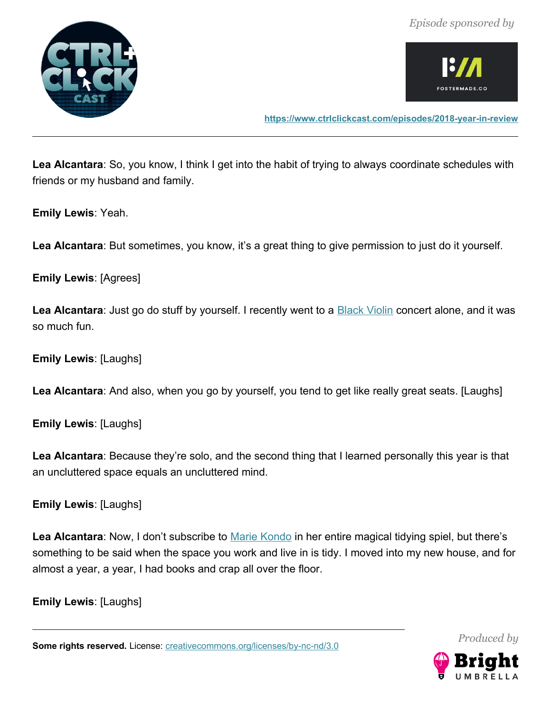



**<https://www.ctrlclickcast.com/episodes/2018-year-in-review>**

**Lea Alcantara**: So, you know, I think I get into the habit of trying to always coordinate schedules with friends or my husband and family.

**Emily Lewis**: Yeah.

**Lea Alcantara**: But sometimes, you know, it's a great thing to give permission to just do it yourself.

**Emily Lewis**: [Agrees]

Lea Alcantara: Just go do stuff by yourself. I recently went to a **Black Violin** concert alone, and it was so much fun.

**Emily Lewis**: [Laughs]

**Lea Alcantara**: And also, when you go by yourself, you tend to get like really great seats. [Laughs]

**Emily Lewis**: [Laughs]

**Lea Alcantara**: Because they're solo, and the second thing that I learned personally this year is that an uncluttered space equals an uncluttered mind.

**Emily Lewis**: [Laughs]

Lea Alcantara: Now, I don't subscribe to **Marie Kondo** in her entire magical tidying spiel, but there's something to be said when the space you work and live in is tidy. I moved into my new house, and for almost a year, a year, I had books and crap all over the floor.

**Emily Lewis**: [Laughs]

Some rights reserved. License: [creativecommons.org/licenses/by-nc-nd/3.0](http://creativecommons.org/licenses/by-nc-nd/3.0/)

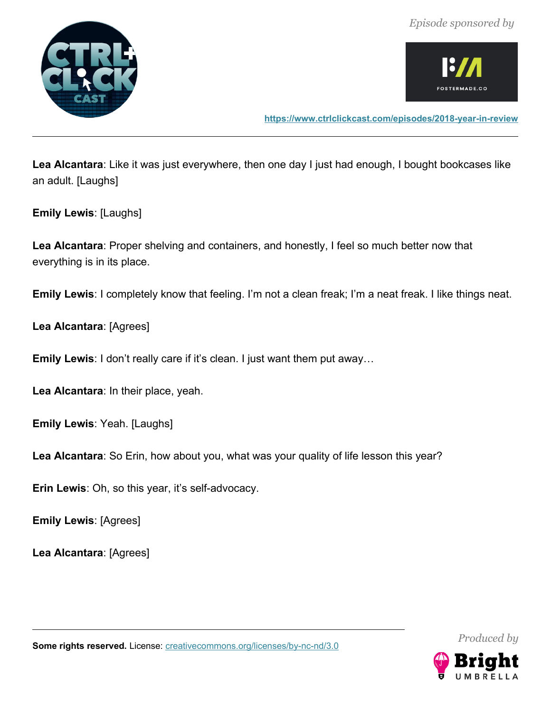



**<https://www.ctrlclickcast.com/episodes/2018-year-in-review>**

**Lea Alcantara**: Like it was just everywhere, then one day I just had enough, I bought bookcases like an adult. [Laughs]

**Emily Lewis**: [Laughs]

**Lea Alcantara**: Proper shelving and containers, and honestly, I feel so much better now that everything is in its place.

**Emily Lewis**: I completely know that feeling. I'm not a clean freak; I'm a neat freak. I like things neat.

**Lea Alcantara**: [Agrees]

**Emily Lewis**: I don't really care if it's clean. I just want them put away…

**Lea Alcantara**: In their place, yeah.

**Emily Lewis**: Yeah. [Laughs]

**Lea Alcantara**: So Erin, how about you, what was your quality of life lesson this year?

**Erin Lewis**: Oh, so this year, it's self-advocacy.

**Emily Lewis**: [Agrees]

**Lea Alcantara**: [Agrees]



Some rights reserved. License: [creativecommons.org/licenses/by-nc-nd/3.0](http://creativecommons.org/licenses/by-nc-nd/3.0/)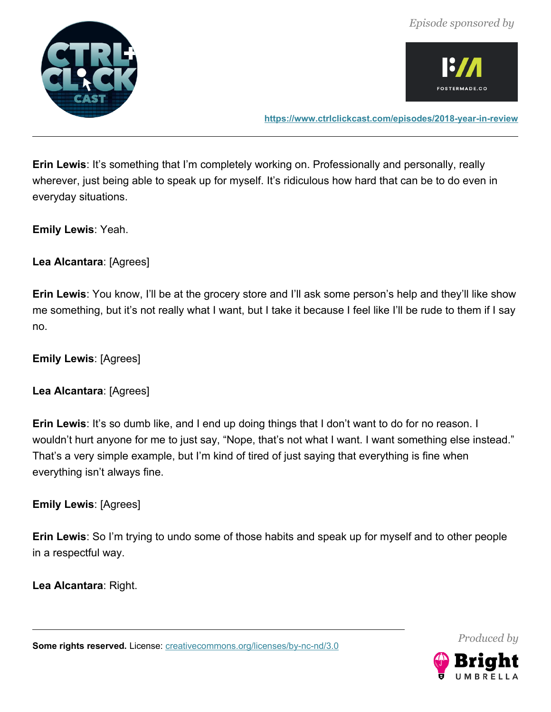



**<https://www.ctrlclickcast.com/episodes/2018-year-in-review>**

**Erin Lewis**: It's something that I'm completely working on. Professionally and personally, really wherever, just being able to speak up for myself. It's ridiculous how hard that can be to do even in everyday situations.

**Emily Lewis**: Yeah.

**Lea Alcantara**: [Agrees]

**Erin Lewis**: You know, I'll be at the grocery store and I'll ask some person's help and they'll like show me something, but it's not really what I want, but I take it because I feel like I'll be rude to them if I say no.

**Emily Lewis**: [Agrees]

**Lea Alcantara**: [Agrees]

**Erin Lewis**: It's so dumb like, and I end up doing things that I don't want to do for no reason. I wouldn't hurt anyone for me to just say, "Nope, that's not what I want. I want something else instead." That's a very simple example, but I'm kind of tired of just saying that everything is fine when everything isn't always fine.

**Emily Lewis**: [Agrees]

**Erin Lewis**: So I'm trying to undo some of those habits and speak up for myself and to other people in a respectful way.

**Lea Alcantara**: Right.

Some rights reserved. License: [creativecommons.org/licenses/by-nc-nd/3.0](http://creativecommons.org/licenses/by-nc-nd/3.0/)

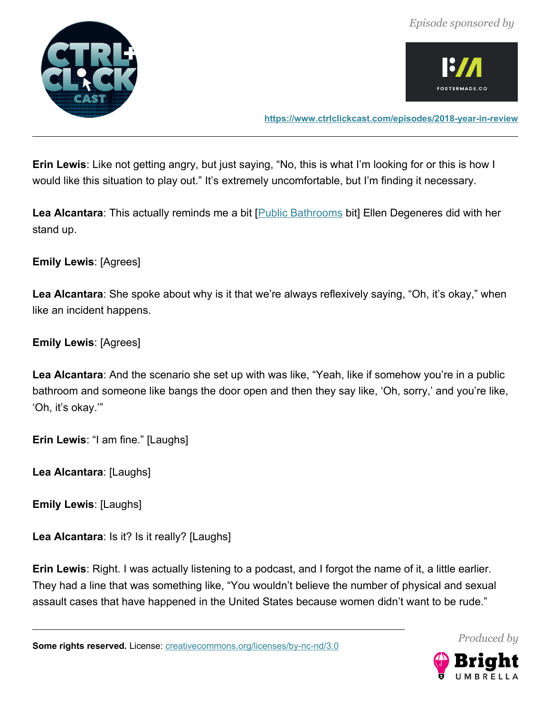



**<https://www.ctrlclickcast.com/episodes/2018-year-in-review>**

**Erin Lewis**: Like not getting angry, but just saying, "No, this is what I'm looking for or this is how I would like this situation to play out." It's extremely uncomfortable, but I'm finding it necessary.

Lea Alcantara: This actually reminds me a bit [**Public Bathrooms** bit] Ellen Degeneres did with her stand up.

**Emily Lewis**: [Agrees]

**Lea Alcantara**: She spoke about why is it that we're always reflexively saying, "Oh, it's okay," when like an incident happens.

**Emily Lewis**: [Agrees]

**Lea Alcantara**: And the scenario she set up with was like, "Yeah, like if somehow you're in a public bathroom and someone like bangs the door open and then they say like, 'Oh, sorry,' and you're like, 'Oh, it's okay.'"

**Erin Lewis**: "I am fine." [Laughs]

**Lea Alcantara**: [Laughs]

**Emily Lewis**: [Laughs]

**Lea Alcantara**: Is it? Is it really? [Laughs]

**Erin Lewis**: Right. I was actually listening to a podcast, and I forgot the name of it, a little earlier. They had a line that was something like, "You wouldn't believe the number of physical and sexual assault cases that have happened in the United States because women didn't want to be rude."



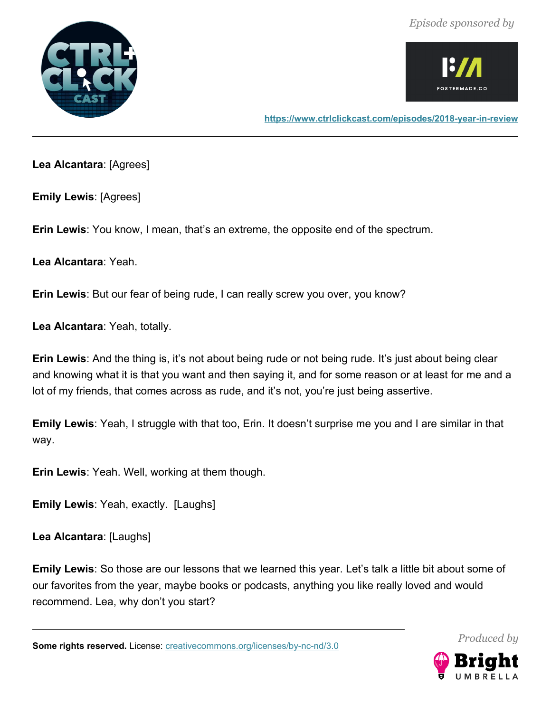



**Lea Alcantara**: [Agrees]

**Emily Lewis**: [Agrees]

**Erin Lewis**: You know, I mean, that's an extreme, the opposite end of the spectrum.

**Lea Alcantara**: Yeah.

**Erin Lewis**: But our fear of being rude, I can really screw you over, you know?

**Lea Alcantara**: Yeah, totally.

**Erin Lewis**: And the thing is, it's not about being rude or not being rude. It's just about being clear and knowing what it is that you want and then saying it, and for some reason or at least for me and a lot of my friends, that comes across as rude, and it's not, you're just being assertive.

**Emily Lewis**: Yeah, I struggle with that too, Erin. It doesn't surprise me you and I are similar in that way.

**Erin Lewis**: Yeah. Well, working at them though.

**Emily Lewis**: Yeah, exactly. [Laughs]

**Lea Alcantara**: [Laughs]

**Emily Lewis**: So those are our lessons that we learned this year. Let's talk a little bit about some of our favorites from the year, maybe books or podcasts, anything you like really loved and would recommend. Lea, why don't you start?

Some rights reserved. License: [creativecommons.org/licenses/by-nc-nd/3.0](http://creativecommons.org/licenses/by-nc-nd/3.0/)

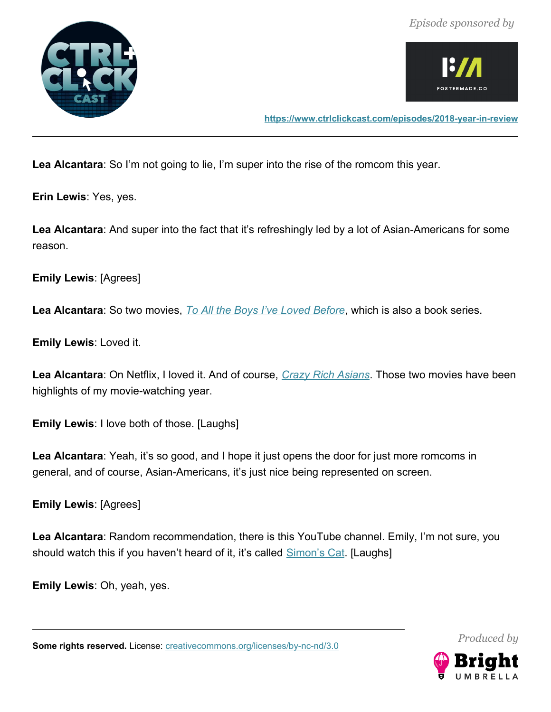



**<https://www.ctrlclickcast.com/episodes/2018-year-in-review>**

**Lea Alcantara**: So I'm not going to lie, I'm super into the rise of the romcom this year.

**Erin Lewis**: Yes, yes.

**Lea Alcantara**: And super into the fact that it's refreshingly led by a lot of Asian-Americans for some reason.

**Emily Lewis**: [Agrees]

**Lea Alcantara**: So two movies, *[To All the Boys I've Loved Before](https://www.netflix.com/title/80203147)*, which is also a book series.

**Emily Lewis**: Loved it.

**Lea Alcantara**: On Netflix, I loved it. And of course, *[Crazy Rich Asians](http://www.crazyrichasiansmovie.com/)*. Those two movies have been highlights of my movie-watching year.

**Emily Lewis**: I love both of those. [Laughs]

**Lea Alcantara**: Yeah, it's so good, and I hope it just opens the door for just more romcoms in general, and of course, Asian-Americans, it's just nice being represented on screen.

**Emily Lewis**: [Agrees]

**Lea Alcantara**: Random recommendation, there is this YouTube channel. Emily, I'm not sure, you should watch this if you haven't heard of it, it's called **[Simon's Cat.](https://www.youtube.com/channel/UCH6vXjt-BA7QHl0KnfL-7RQ)** [Laughs]

**Emily Lewis**: Oh, yeah, yes.

Some rights reserved. License: [creativecommons.org/licenses/by-nc-nd/3.0](http://creativecommons.org/licenses/by-nc-nd/3.0/)

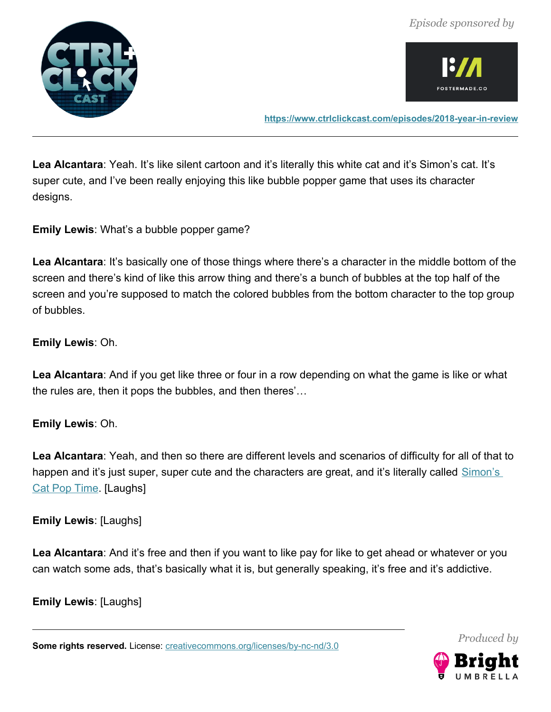



**<https://www.ctrlclickcast.com/episodes/2018-year-in-review>**

Lea Alcantara: Yeah. It's like silent cartoon and it's literally this white cat and it's Simon's cat. It's super cute, and I've been really enjoying this like bubble popper game that uses its character designs.

**Emily Lewis**: What's a bubble popper game?

Lea Alcantara: It's basically one of those things where there's a character in the middle bottom of the screen and there's kind of like this arrow thing and there's a bunch of bubbles at the top half of the screen and you're supposed to match the colored bubbles from the bottom character to the top group of bubbles.

# **Emily Lewis**: Oh.

**Lea Alcantara**: And if you get like three or four in a row depending on what the game is like or what the rules are, then it pops the bubbles, and then theres'…

# **Emily Lewis**: Oh.

**Lea Alcantara**: Yeah, and then so there are different levels and scenarios of difficulty for all of that to happen and it's just super, super cute and the characters are great, and it's literally called Simon's [Cat Pop Time.](https://itunes.apple.com/us/app/simons-cat-pop-time/id1340819732?mt=8) [Laughs]

**Emily Lewis**: [Laughs]

**Lea Alcantara**: And it's free and then if you want to like pay for like to get ahead or whatever or you can watch some ads, that's basically what it is, but generally speaking, it's free and it's addictive.

**Emily Lewis**: [Laughs]

Some rights reserved. License: [creativecommons.org/licenses/by-nc-nd/3.0](http://creativecommons.org/licenses/by-nc-nd/3.0/)

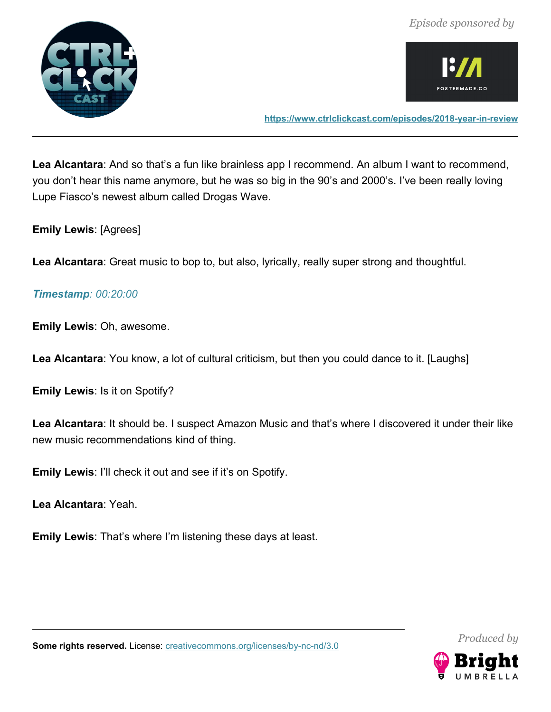



**<https://www.ctrlclickcast.com/episodes/2018-year-in-review>**

**Lea Alcantara**: And so that's a fun like brainless app I recommend. An album I want to recommend, you don't hear this name anymore, but he was so big in the 90's and 2000's. I've been really loving Lupe Fiasco's newest album called Drogas Wave.

**Emily Lewis**: [Agrees]

**Lea Alcantara**: Great music to bop to, but also, lyrically, really super strong and thoughtful.

# *Timestamp: 00:20:00*

**Emily Lewis**: Oh, awesome.

**Lea Alcantara**: You know, a lot of cultural criticism, but then you could dance to it. [Laughs]

**Emily Lewis**: Is it on Spotify?

**Lea Alcantara**: It should be. I suspect Amazon Music and that's where I discovered it under their like new music recommendations kind of thing.

**Emily Lewis**: I'll check it out and see if it's on Spotify.

**Lea Alcantara**: Yeah.

**Emily Lewis**: That's where I'm listening these days at least.



*Produced by*

Some rights reserved. License: [creativecommons.org/licenses/by-nc-nd/3.0](http://creativecommons.org/licenses/by-nc-nd/3.0/)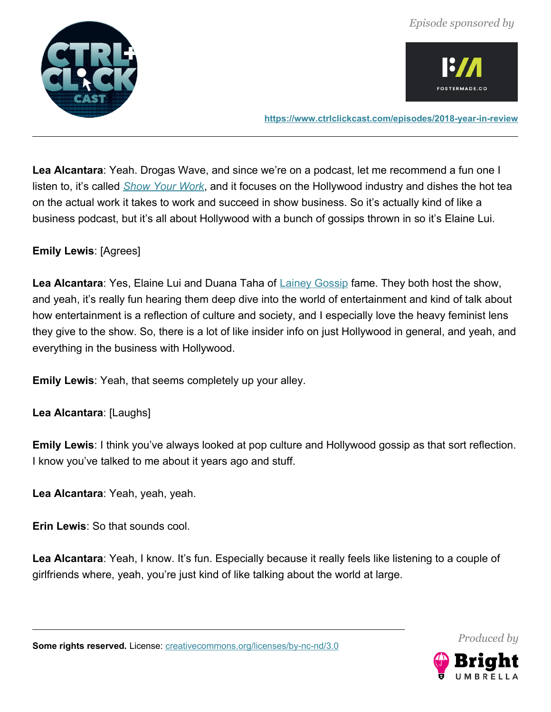



**<https://www.ctrlclickcast.com/episodes/2018-year-in-review>**

**Lea Alcantara**: Yeah. Drogas Wave, and since we're on a podcast, let me recommend a fun one I listen to, it's called *[Show Your Work](https://itunes.apple.com/us/podcast/show-your-work/id1183089072?mt=2)*, and it focuses on the Hollywood industry and dishes the hot tea on the actual work it takes to work and succeed in show business. So it's actually kind of like a business podcast, but it's all about Hollywood with a bunch of gossips thrown in so it's Elaine Lui.

# **Emily Lewis**: [Agrees]

Lea Alcantara: Yes, Elaine Lui and Duana Taha of [Lainey Gossip](https://www.laineygossip.com/) fame. They both host the show, and yeah, it's really fun hearing them deep dive into the world of entertainment and kind of talk about how entertainment is a reflection of culture and society, and I especially love the heavy feminist lens they give to the show. So, there is a lot of like insider info on just Hollywood in general, and yeah, and everything in the business with Hollywood.

**Emily Lewis**: Yeah, that seems completely up your alley.

**Lea Alcantara**: [Laughs]

**Emily Lewis**: I think you've always looked at pop culture and Hollywood gossip as that sort reflection. I know you've talked to me about it years ago and stuff.

**Lea Alcantara**: Yeah, yeah, yeah.

**Erin Lewis**: So that sounds cool.

Lea Alcantara: Yeah, I know. It's fun. Especially because it really feels like listening to a couple of girlfriends where, yeah, you're just kind of like talking about the world at large.

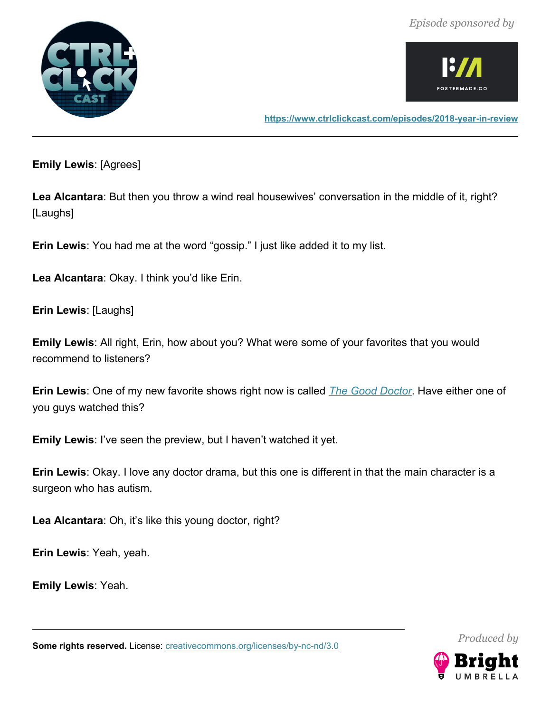



**Emily Lewis**: [Agrees]

**Lea Alcantara**: But then you throw a wind real housewives' conversation in the middle of it, right? [Laughs]

**Erin Lewis**: You had me at the word "gossip." I just like added it to my list.

**Lea Alcantara**: Okay. I think you'd like Erin.

**Erin Lewis**: [Laughs]

**Emily Lewis**: All right, Erin, how about you? What were some of your favorites that you would recommend to listeners?

**Erin Lewis**: One of my new favorite shows right now is called *[The Good Doctor](https://abc.go.com/shows/the-good-doctor)*. Have either one of you guys watched this?

**Emily Lewis**: I've seen the preview, but I haven't watched it yet.

**Erin Lewis**: Okay. I love any doctor drama, but this one is different in that the main character is a surgeon who has autism.

**Lea Alcantara**: Oh, it's like this young doctor, right?

**Erin Lewis**: Yeah, yeah.

**Emily Lewis**: Yeah.

Some rights reserved. License: [creativecommons.org/licenses/by-nc-nd/3.0](http://creativecommons.org/licenses/by-nc-nd/3.0/)

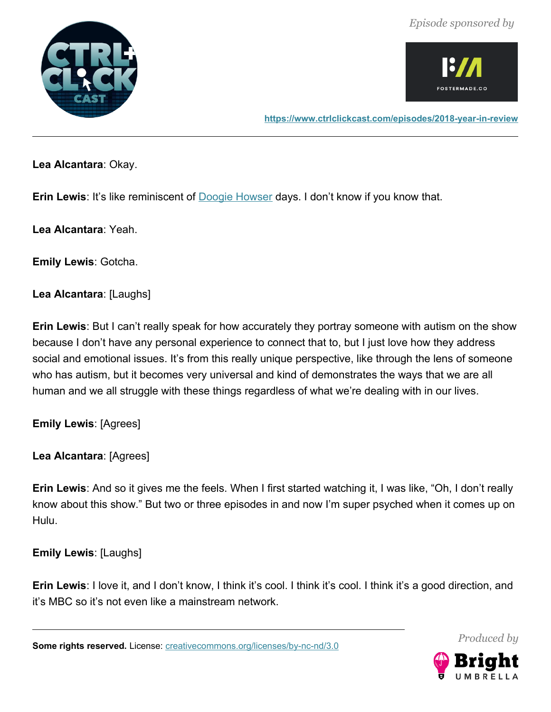



**<https://www.ctrlclickcast.com/episodes/2018-year-in-review>**

**Lea Alcantara**: Okay.

**Erin Lewis**: It's like reminiscent of **Doogie Howser** days. I don't know if you know that.

**Lea Alcantara**: Yeah.

**Emily Lewis**: Gotcha.

**Lea Alcantara**: [Laughs]

**Erin Lewis**: But I can't really speak for how accurately they portray someone with autism on the show because I don't have any personal experience to connect that to, but I just love how they address social and emotional issues. It's from this really unique perspective, like through the lens of someone who has autism, but it becomes very universal and kind of demonstrates the ways that we are all human and we all struggle with these things regardless of what we're dealing with in our lives.

**Emily Lewis**: [Agrees]

**Lea Alcantara**: [Agrees]

**Erin Lewis**: And so it gives me the feels. When I first started watching it, I was like, "Oh, I don't really know about this show." But two or three episodes in and now I'm super psyched when it comes up on Hulu.

**Emily Lewis**: [Laughs]

**Erin Lewis**: I love it, and I don't know, I think it's cool. I think it's cool. I think it's a good direction, and it's MBC so it's not even like a mainstream network.

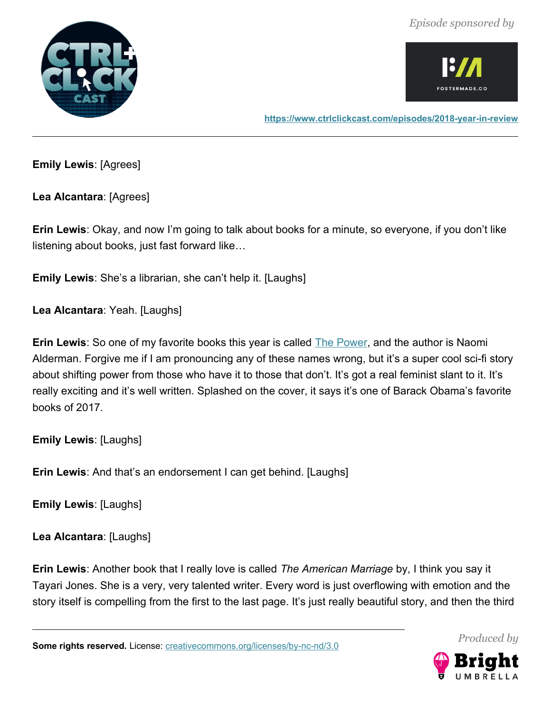



**<https://www.ctrlclickcast.com/episodes/2018-year-in-review>**

**Emily Lewis**: [Agrees]

**Lea Alcantara**: [Agrees]

**Erin Lewis**: Okay, and now I'm going to talk about books for a minute, so everyone, if you don't like listening about books, just fast forward like…

**Emily Lewis**: She's a librarian, she can't help it. [Laughs]

**Lea Alcantara**: Yeah. [Laughs]

**Erin Lewis**: So one of my favorite books this year is called **The Power**, and the author is Naomi Alderman. Forgive me if I am pronouncing any of these names wrong, but it's a super cool sci-fi story about shifting power from those who have it to those that don't. It's got a real feminist slant to it. It's really exciting and it's well written. Splashed on the cover, it says it's one of Barack Obama's favorite books of 2017.

**Emily Lewis**: [Laughs]

**Erin Lewis**: And that's an endorsement I can get behind. [Laughs]

**Emily Lewis**: [Laughs]

**Lea Alcantara**: [Laughs]

**Erin Lewis**: Another book that I really love is called *The American Marriage* by, I think you say it Tayari Jones. She is a very, very talented writer. Every word is just overflowing with emotion and the story itself is compelling from the first to the last page. It's just really beautiful story, and then the third



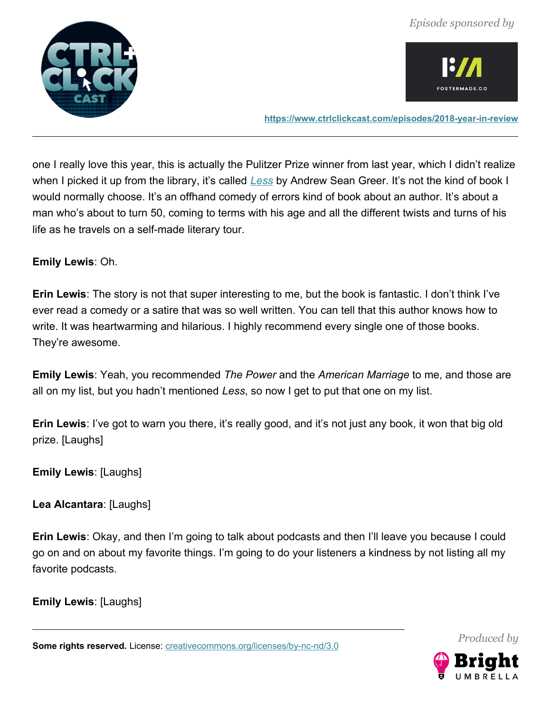



**<https://www.ctrlclickcast.com/episodes/2018-year-in-review>**

one I really love this year, this is actually the Pulitzer Prize winner from last year, which I didn't realize when I picked it up from the library, it's called *[Less](https://smile.amazon.com/Less-Winner-Pulitzer-Prize-Novel/dp/0316316121)* by Andrew Sean Greer. It's not the kind of book I would normally choose. It's an offhand comedy of errors kind of book about an author. It's about a man who's about to turn 50, coming to terms with his age and all the different twists and turns of his life as he travels on a self-made literary tour.

#### **Emily Lewis**: Oh.

**Erin Lewis**: The story is not that super interesting to me, but the book is fantastic. I don't think I've ever read a comedy or a satire that was so well written. You can tell that this author knows how to write. It was heartwarming and hilarious. I highly recommend every single one of those books. They're awesome.

**Emily Lewis**: Yeah, you recommended *The Power* and the *American Marriage* to me, and those are all on my list, but you hadn't mentioned *Less*, so now I get to put that one on my list.

**Erin Lewis**: I've got to warn you there, it's really good, and it's not just any book, it won that big old prize. [Laughs]

**Emily Lewis**: [Laughs]

**Lea Alcantara**: [Laughs]

**Erin Lewis**: Okay, and then I'm going to talk about podcasts and then I'll leave you because I could go on and on about my favorite things. I'm going to do your listeners a kindness by not listing all my favorite podcasts.

**Emily Lewis**: [Laughs]

Some rights reserved. License: [creativecommons.org/licenses/by-nc-nd/3.0](http://creativecommons.org/licenses/by-nc-nd/3.0/)

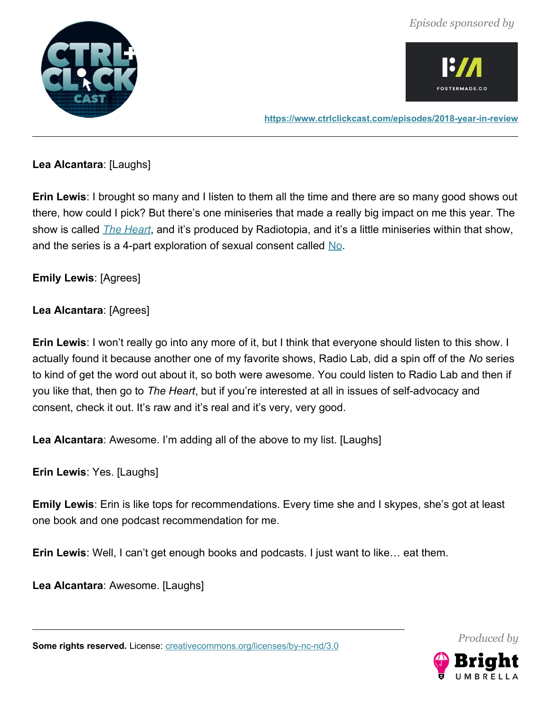



**<https://www.ctrlclickcast.com/episodes/2018-year-in-review>**

# **Lea Alcantara**: [Laughs]

**Erin Lewis**: I brought so many and I listen to them all the time and there are so many good shows out there, how could I pick? But there's one miniseries that made a really big impact on me this year. The show is called *[The Heart](https://www.radiotopia.fm/podcasts/the-heart)*, and it's produced by Radiotopia, and it's a little miniseries within that show, and the series is a 4-part exploration of sexual consent called [No.](https://www.theheartradio.org/no-episodes/)

# **Emily Lewis**: [Agrees]

# **Lea Alcantara**: [Agrees]

**Erin Lewis**: I won't really go into any more of it, but I think that everyone should listen to this show. I actually found it because another one of my favorite shows, Radio Lab, did a spin off of the *No* series to kind of get the word out about it, so both were awesome. You could listen to Radio Lab and then if you like that, then go to *The Heart*, but if you're interested at all in issues of self-advocacy and consent, check it out. It's raw and it's real and it's very, very good.

**Lea Alcantara**: Awesome. I'm adding all of the above to my list. [Laughs]

**Erin Lewis**: Yes. [Laughs]

**Emily Lewis**: Erin is like tops for recommendations. Every time she and I skypes, she's got at least one book and one podcast recommendation for me.

**Erin Lewis**: Well, I can't get enough books and podcasts. I just want to like… eat them.

**Lea Alcantara**: Awesome. [Laughs]



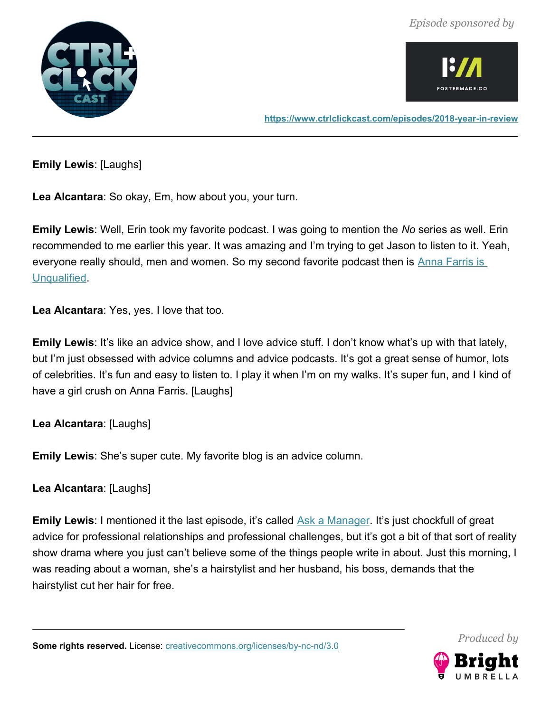



**<https://www.ctrlclickcast.com/episodes/2018-year-in-review>**

**Emily Lewis**: [Laughs]

**Lea Alcantara**: So okay, Em, how about you, your turn.

**Emily Lewis**: Well, Erin took my favorite podcast. I was going to mention the *No* series as well. Erin recommended to me earlier this year. It was amazing and I'm trying to get Jason to listen to it. Yeah, everyone really should, men and women. So my second favorite podcast then is Anna Farris is [Unqualified.](https://www.unqualified.com/)

**Lea Alcantara**: Yes, yes. I love that too.

**Emily Lewis**: It's like an advice show, and I love advice stuff. I don't know what's up with that lately, but I'm just obsessed with advice columns and advice podcasts. It's got a great sense of humor, lots of celebrities. It's fun and easy to listen to. I play it when I'm on my walks. It's super fun, and I kind of have a girl crush on Anna Farris. [Laughs]

# **Lea Alcantara**: [Laughs]

**Emily Lewis**: She's super cute. My favorite blog is an advice column.

**Lea Alcantara**: [Laughs]

**Emily Lewis**: I mentioned it the last episode, it's called [Ask a Manager.](https://www.askamanager.org/) It's just chockfull of great advice for professional relationships and professional challenges, but it's got a bit of that sort of reality show drama where you just can't believe some of the things people write in about. Just this morning, I was reading about a woman, she's a hairstylist and her husband, his boss, demands that the hairstylist cut her hair for free.



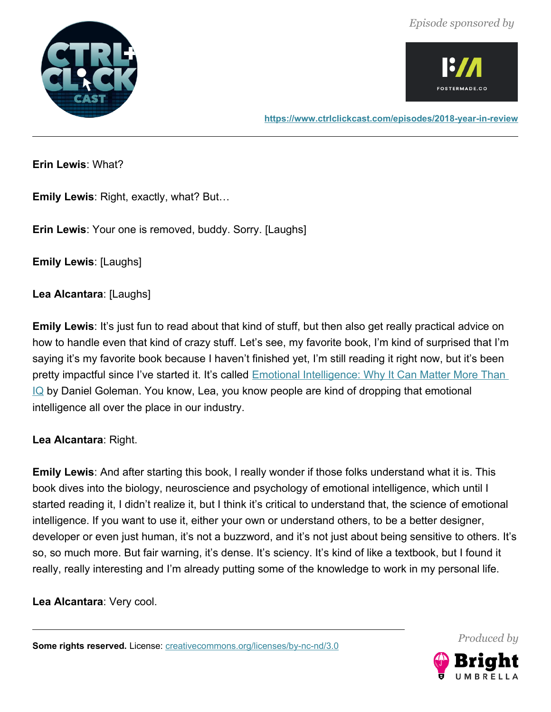



**<https://www.ctrlclickcast.com/episodes/2018-year-in-review>**

**Erin Lewis**: What?

**Emily Lewis**: Right, exactly, what? But…

**Erin Lewis**: Your one is removed, buddy. Sorry. [Laughs]

**Emily Lewis**: [Laughs]

**Lea Alcantara**: [Laughs]

**Emily Lewis**: It's just fun to read about that kind of stuff, but then also get really practical advice on how to handle even that kind of crazy stuff. Let's see, my favorite book, I'm kind of surprised that I'm saying it's my favorite book because I haven't finished yet, I'm still reading it right now, but it's been pretty impactful since I've started it. It's called **Emotional Intelligence: Why It Can Matter More Than IQ** by Daniel Goleman. You know, Lea, you know people are kind of dropping that emotional intelligence all over the place in our industry.

**Lea Alcantara**: Right.

**Emily Lewis**: And after starting this book, I really wonder if those folks understand what it is. This book dives into the biology, neuroscience and psychology of emotional intelligence, which until I started reading it, I didn't realize it, but I think it's critical to understand that, the science of emotional intelligence. If you want to use it, either your own or understand others, to be a better designer, developer or even just human, it's not a buzzword, and it's not just about being sensitive to others. It's so, so much more. But fair warning, it's dense. It's sciency. It's kind of like a textbook, but I found it really, really interesting and I'm already putting some of the knowledge to work in my personal life.

**Lea Alcantara**: Very cool.

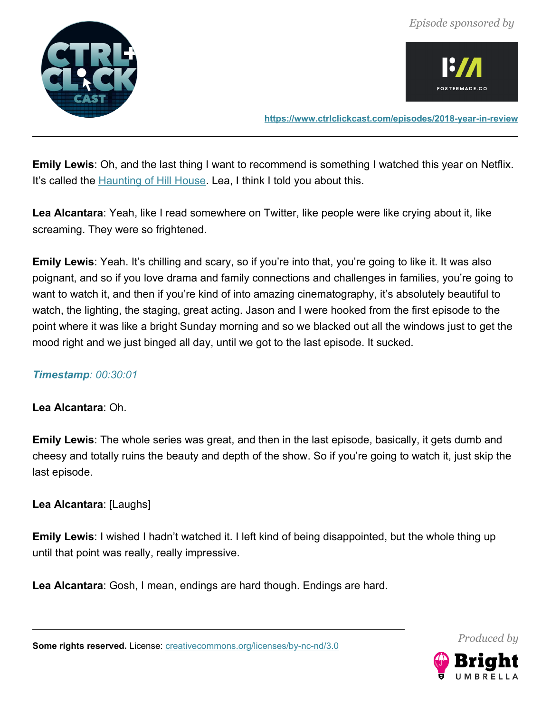



**<https://www.ctrlclickcast.com/episodes/2018-year-in-review>**

**Emily Lewis**: Oh, and the last thing I want to recommend is something I watched this year on Netflix. It's called the **Haunting of Hill House**. Lea, I think I told you about this.

**Lea Alcantara**: Yeah, like I read somewhere on Twitter, like people were like crying about it, like screaming. They were so frightened.

**Emily Lewis**: Yeah. It's chilling and scary, so if you're into that, you're going to like it. It was also poignant, and so if you love drama and family connections and challenges in families, you're going to want to watch it, and then if you're kind of into amazing cinematography, it's absolutely beautiful to watch, the lighting, the staging, great acting. Jason and I were hooked from the first episode to the point where it was like a bright Sunday morning and so we blacked out all the windows just to get the mood right and we just binged all day, until we got to the last episode. It sucked.

# *Timestamp: 00:30:01*

# **Lea Alcantara**: Oh.

**Emily Lewis**: The whole series was great, and then in the last episode, basically, it gets dumb and cheesy and totally ruins the beauty and depth of the show. So if you're going to watch it, just skip the last episode.

**Lea Alcantara**: [Laughs]

**Emily Lewis**: I wished I hadn't watched it. I left kind of being disappointed, but the whole thing up until that point was really, really impressive.

**Lea Alcantara**: Gosh, I mean, endings are hard though. Endings are hard.

Some rights reserved. License: [creativecommons.org/licenses/by-nc-nd/3.0](http://creativecommons.org/licenses/by-nc-nd/3.0/)

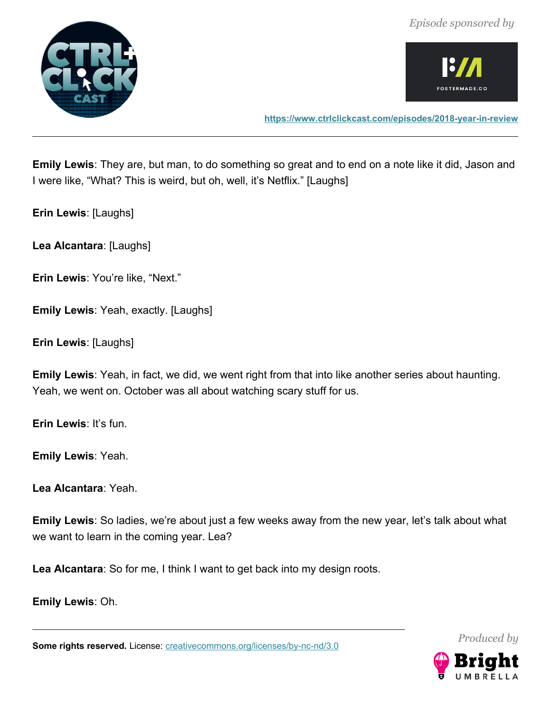*Episode sponsored by*





**Emily Lewis**: They are, but man, to do something so great and to end on a note like it did, Jason and I were like, "What? This is weird, but oh, well, it's Netflix." [Laughs]

**Erin Lewis**: [Laughs]

**Lea Alcantara**: [Laughs]

**Erin Lewis**: You're like, "Next."

**Emily Lewis**: Yeah, exactly. [Laughs]

**Erin Lewis**: [Laughs]

**Emily Lewis**: Yeah, in fact, we did, we went right from that into like another series about haunting. Yeah, we went on. October was all about watching scary stuff for us.

**Erin Lewis**: It's fun.

**Emily Lewis**: Yeah.

**Lea Alcantara**: Yeah.

**Emily Lewis**: So ladies, we're about just a few weeks away from the new year, let's talk about what we want to learn in the coming year. Lea?

**Lea Alcantara**: So for me, I think I want to get back into my design roots.

**Emily Lewis**: Oh.

**Some rights reserved.** License: **creativecommons.org/licenses/by-nc-nd/3.0** 

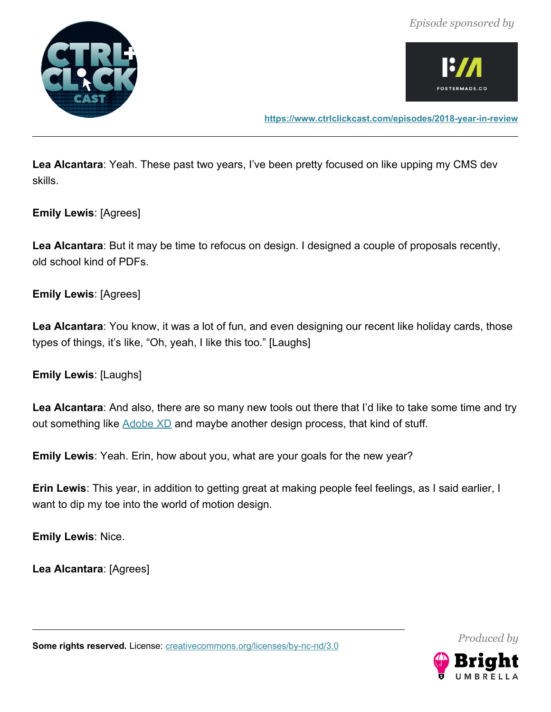



**<https://www.ctrlclickcast.com/episodes/2018-year-in-review>**

**Lea Alcantara**: Yeah. These past two years, I've been pretty focused on like upping my CMS dev skills.

**Emily Lewis**: [Agrees]

**Lea Alcantara**: But it may be time to refocus on design. I designed a couple of proposals recently, old school kind of PDFs.

**Emily Lewis**: [Agrees]

**Lea Alcantara**: You know, it was a lot of fun, and even designing our recent like holiday cards, those types of things, it's like, "Oh, yeah, I like this too." [Laughs]

**Emily Lewis**: [Laughs]

**Lea Alcantara**: And also, there are so many new tools out there that I'd like to take some time and try out something like [Adobe XD](https://www.adobe.com/products/xd.html) and maybe another design process, that kind of stuff.

**Emily Lewis**: Yeah. Erin, how about you, what are your goals for the new year?

**Erin Lewis**: This year, in addition to getting great at making people feel feelings, as I said earlier, I want to dip my toe into the world of motion design.

**Emily Lewis**: Nice.

**Lea Alcantara**: [Agrees]

*Produced by*

Some rights reserved. License: [creativecommons.org/licenses/by-nc-nd/3.0](http://creativecommons.org/licenses/by-nc-nd/3.0/)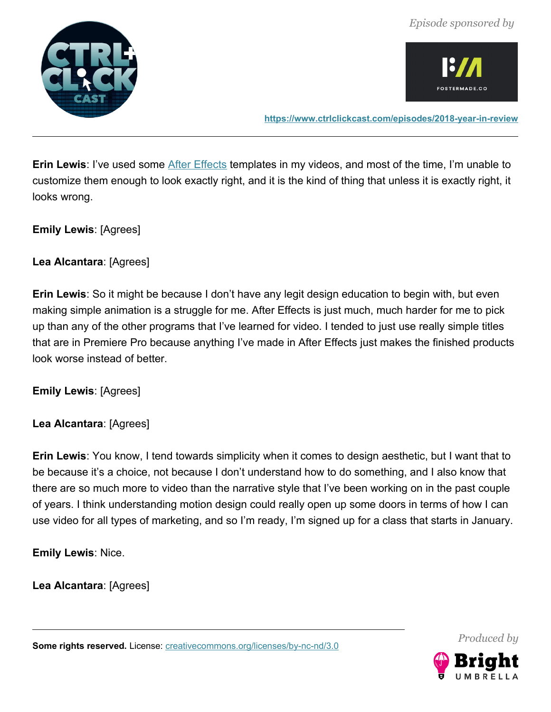



**<https://www.ctrlclickcast.com/episodes/2018-year-in-review>**

**Erin Lewis**: I've used some **After Effects** templates in my videos, and most of the time, I'm unable to customize them enough to look exactly right, and it is the kind of thing that unless it is exactly right, it looks wrong.

**Emily Lewis**: [Agrees]

# **Lea Alcantara**: [Agrees]

**Erin Lewis**: So it might be because I don't have any legit design education to begin with, but even making simple animation is a struggle for me. After Effects is just much, much harder for me to pick up than any of the other programs that I've learned for video. I tended to just use really simple titles that are in Premiere Pro because anything I've made in After Effects just makes the finished products look worse instead of better.

**Emily Lewis**: [Agrees]

**Lea Alcantara**: [Agrees]

**Erin Lewis**: You know, I tend towards simplicity when it comes to design aesthetic, but I want that to be because it's a choice, not because I don't understand how to do something, and I also know that there are so much more to video than the narrative style that I've been working on in the past couple of years. I think understanding motion design could really open up some doors in terms of how I can use video for all types of marketing, and so I'm ready, I'm signed up for a class that starts in January.

**Emily Lewis**: Nice.

**Lea Alcantara**: [Agrees]

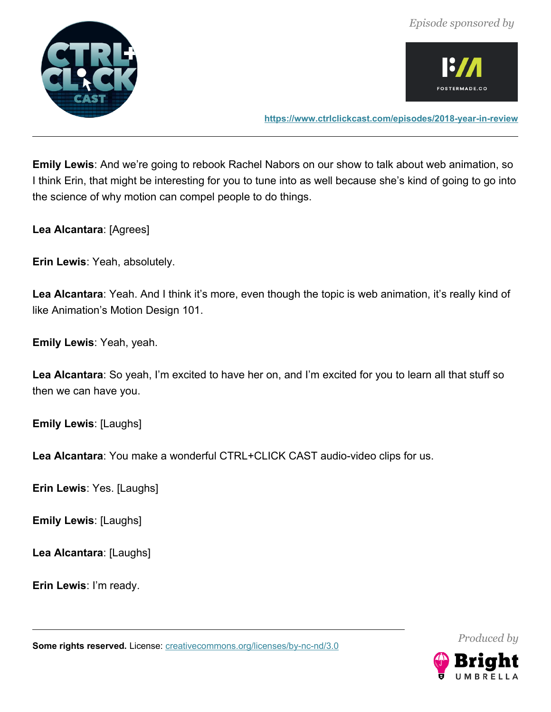



**<https://www.ctrlclickcast.com/episodes/2018-year-in-review>**

**Emily Lewis**: And we're going to rebook Rachel Nabors on our show to talk about web animation, so I think Erin, that might be interesting for you to tune into as well because she's kind of going to go into the science of why motion can compel people to do things.

**Lea Alcantara**: [Agrees]

**Erin Lewis**: Yeah, absolutely.

**Lea Alcantara**: Yeah. And I think it's more, even though the topic is web animation, it's really kind of like Animation's Motion Design 101.

**Emily Lewis**: Yeah, yeah.

**Lea Alcantara**: So yeah, I'm excited to have her on, and I'm excited for you to learn all that stuff so then we can have you.

**Emily Lewis**: [Laughs]

**Lea Alcantara**: You make a wonderful CTRL+CLICK CAST audio-video clips for us.

**Erin Lewis**: Yes. [Laughs]

**Emily Lewis**: [Laughs]

**Lea Alcantara**: [Laughs]

**Erin Lewis**: I'm ready.

Some rights reserved. License: [creativecommons.org/licenses/by-nc-nd/3.0](http://creativecommons.org/licenses/by-nc-nd/3.0/)

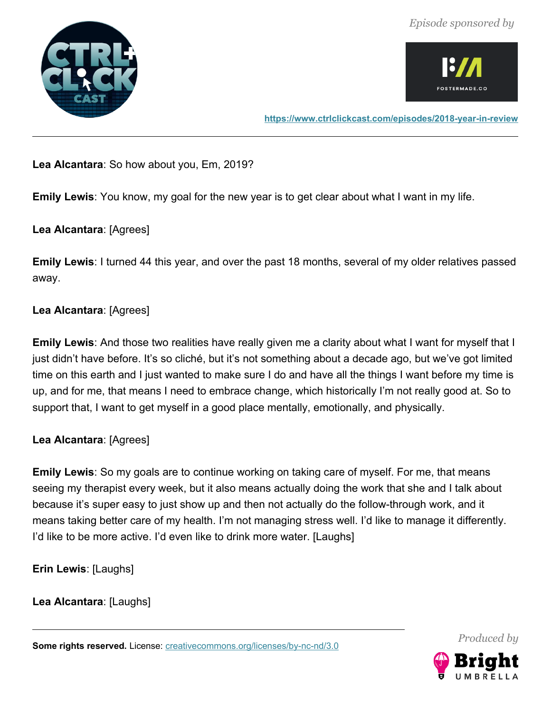



# **Lea Alcantara**: So how about you, Em, 2019?

**Emily Lewis**: You know, my goal for the new year is to get clear about what I want in my life.

# **Lea Alcantara**: [Agrees]

**Emily Lewis**: I turned 44 this year, and over the past 18 months, several of my older relatives passed away.

# **Lea Alcantara**: [Agrees]

**Emily Lewis**: And those two realities have really given me a clarity about what I want for myself that I just didn't have before. It's so cliché, but it's not something about a decade ago, but we've got limited time on this earth and I just wanted to make sure I do and have all the things I want before my time is up, and for me, that means I need to embrace change, which historically I'm not really good at. So to support that, I want to get myself in a good place mentally, emotionally, and physically.

# **Lea Alcantara**: [Agrees]

**Emily Lewis**: So my goals are to continue working on taking care of myself. For me, that means seeing my therapist every week, but it also means actually doing the work that she and I talk about because it's super easy to just show up and then not actually do the follow-through work, and it means taking better care of my health. I'm not managing stress well. I'd like to manage it differently. I'd like to be more active. I'd even like to drink more water. [Laughs]

**Erin Lewis**: [Laughs]

**Lea Alcantara**: [Laughs]

Some rights reserved. License: [creativecommons.org/licenses/by-nc-nd/3.0](http://creativecommons.org/licenses/by-nc-nd/3.0/)

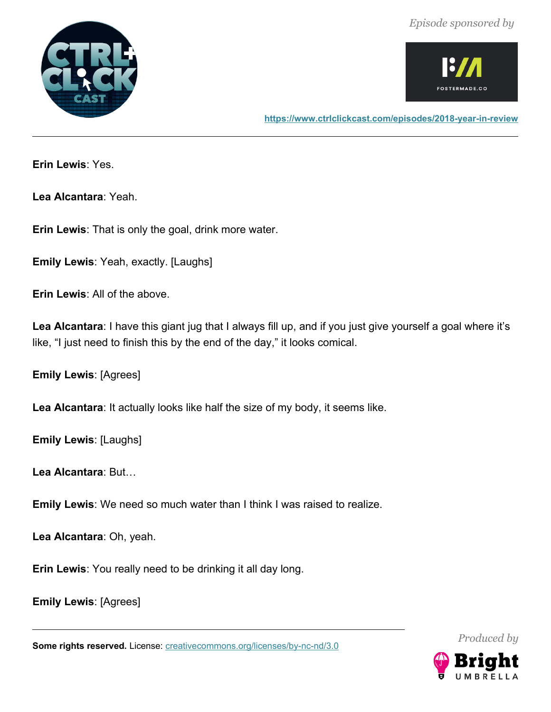



**Erin Lewis**: Yes.

**Lea Alcantara**: Yeah.

**Erin Lewis**: That is only the goal, drink more water.

**Emily Lewis**: Yeah, exactly. [Laughs]

**Erin Lewis**: All of the above.

**Lea Alcantara**: I have this giant jug that I always fill up, and if you just give yourself a goal where it's like, "I just need to finish this by the end of the day," it looks comical.

**Emily Lewis**: [Agrees]

**Lea Alcantara**: It actually looks like half the size of my body, it seems like.

**Emily Lewis**: [Laughs]

**Lea Alcantara**: But…

**Emily Lewis**: We need so much water than I think I was raised to realize.

**Lea Alcantara**: Oh, yeah.

**Erin Lewis**: You really need to be drinking it all day long.

**Emily Lewis**: [Agrees]

**Some rights reserved.** License: **creativecommons.org/licenses/by-nc-nd/3.0** 

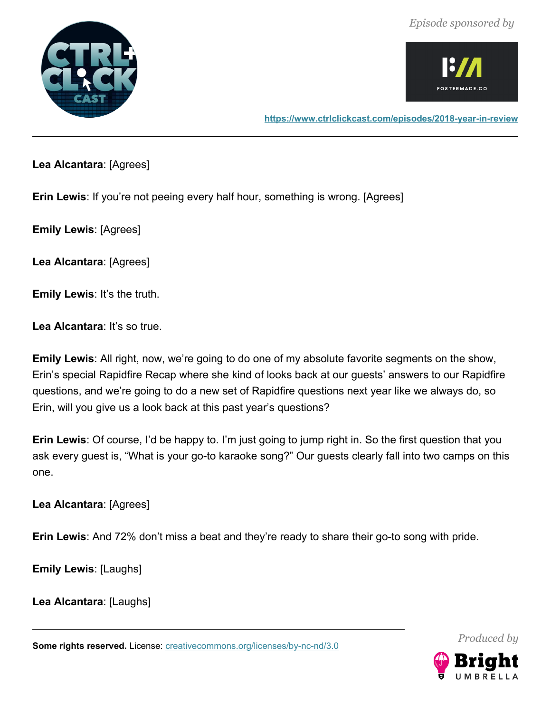



**<https://www.ctrlclickcast.com/episodes/2018-year-in-review>**

**Lea Alcantara**: [Agrees]

**Erin Lewis**: If you're not peeing every half hour, something is wrong. [Agrees]

**Emily Lewis**: [Agrees]

**Lea Alcantara**: [Agrees]

**Emily Lewis: It's the truth.** 

Lea Alcantara: It's so true.

**Emily Lewis**: All right, now, we're going to do one of my absolute favorite segments on the show, Erin's special Rapidfire Recap where she kind of looks back at our guests' answers to our Rapidfire questions, and we're going to do a new set of Rapidfire questions next year like we always do, so Erin, will you give us a look back at this past year's questions?

**Erin Lewis**: Of course, I'd be happy to. I'm just going to jump right in. So the first question that you ask every guest is, "What is your go-to karaoke song?" Our guests clearly fall into two camps on this one.

**Lea Alcantara**: [Agrees]

**Erin Lewis**: And 72% don't miss a beat and they're ready to share their go-to song with pride.

**Emily Lewis**: [Laughs]

**Lea Alcantara**: [Laughs]

Some rights reserved. License: [creativecommons.org/licenses/by-nc-nd/3.0](http://creativecommons.org/licenses/by-nc-nd/3.0/)

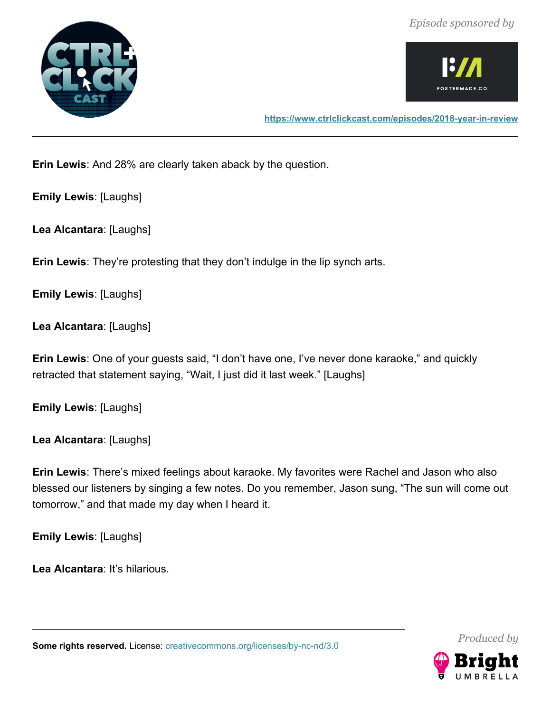



**Erin Lewis**: And 28% are clearly taken aback by the question.

**Emily Lewis**: [Laughs]

**Lea Alcantara**: [Laughs]

**Erin Lewis**: They're protesting that they don't indulge in the lip synch arts.

**Emily Lewis**: [Laughs]

**Lea Alcantara**: [Laughs]

**Erin Lewis**: One of your guests said, "I don't have one, I've never done karaoke," and quickly retracted that statement saying, "Wait, I just did it last week." [Laughs]

**Emily Lewis**: [Laughs]

**Lea Alcantara**: [Laughs]

**Erin Lewis**: There's mixed feelings about karaoke. My favorites were Rachel and Jason who also blessed our listeners by singing a few notes. Do you remember, Jason sung, "The sun will come out tomorrow," and that made my day when I heard it.

**Emily Lewis**: [Laughs]

**Lea Alcantara**: It's hilarious.

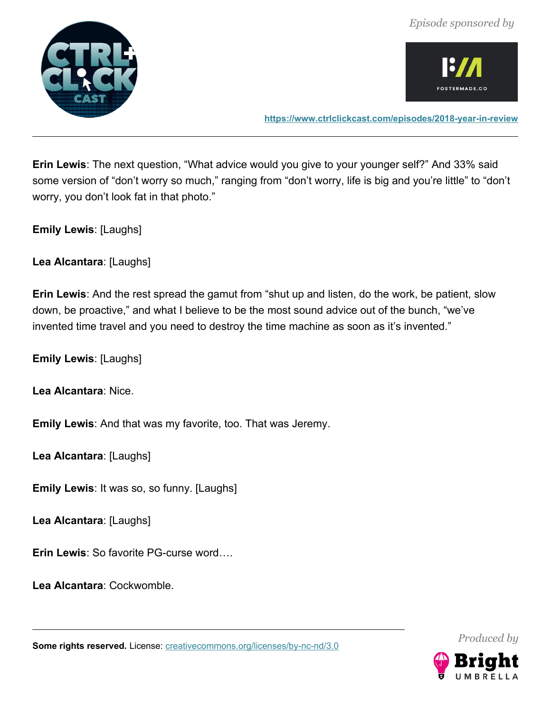



**<https://www.ctrlclickcast.com/episodes/2018-year-in-review>**

**Erin Lewis**: The next question, "What advice would you give to your younger self?" And 33% said some version of "don't worry so much," ranging from "don't worry, life is big and you're little" to "don't worry, you don't look fat in that photo."

**Emily Lewis**: [Laughs]

**Lea Alcantara**: [Laughs]

**Erin Lewis**: And the rest spread the gamut from "shut up and listen, do the work, be patient, slow down, be proactive," and what I believe to be the most sound advice out of the bunch, "we've invented time travel and you need to destroy the time machine as soon as it's invented."

**Emily Lewis**: [Laughs]

**Lea Alcantara**: Nice.

**Emily Lewis**: And that was my favorite, too. That was Jeremy.

**Lea Alcantara**: [Laughs]

**Emily Lewis**: It was so, so funny. [Laughs]

**Lea Alcantara**: [Laughs]

**Erin Lewis**: So favorite PG-curse word….

**Lea Alcantara**: Cockwomble.

Some rights reserved. License: [creativecommons.org/licenses/by-nc-nd/3.0](http://creativecommons.org/licenses/by-nc-nd/3.0/)

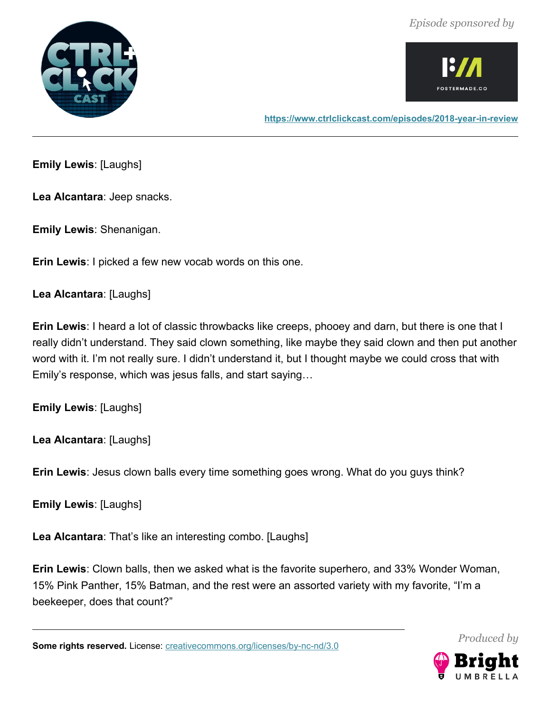



**Emily Lewis**: [Laughs]

**Lea Alcantara**: Jeep snacks.

**Emily Lewis**: Shenanigan.

**Erin Lewis**: I picked a few new vocab words on this one.

**Lea Alcantara**: [Laughs]

**Erin Lewis**: I heard a lot of classic throwbacks like creeps, phooey and darn, but there is one that I really didn't understand. They said clown something, like maybe they said clown and then put another word with it. I'm not really sure. I didn't understand it, but I thought maybe we could cross that with Emily's response, which was jesus falls, and start saying…

**Emily Lewis**: [Laughs]

**Lea Alcantara**: [Laughs]

**Erin Lewis**: Jesus clown balls every time something goes wrong. What do you guys think?

**Emily Lewis**: [Laughs]

**Lea Alcantara**: That's like an interesting combo. [Laughs]

**Erin Lewis**: Clown balls, then we asked what is the favorite superhero, and 33% Wonder Woman, 15% Pink Panther, 15% Batman, and the rest were an assorted variety with my favorite, "I'm a beekeeper, does that count?"

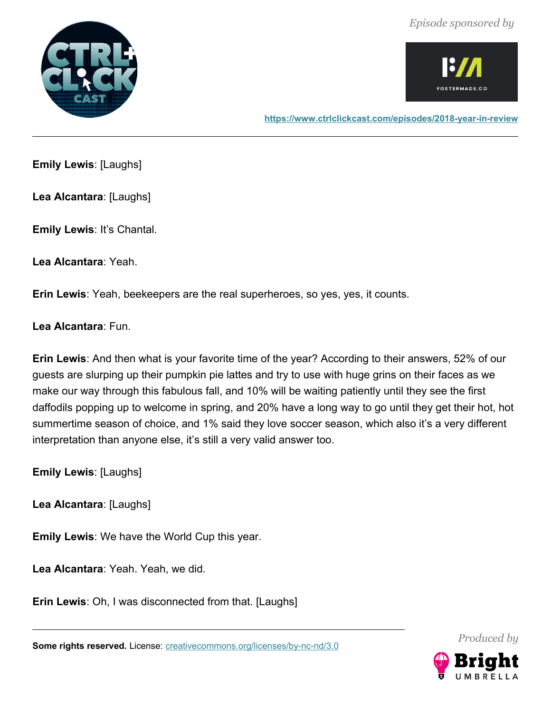



**<https://www.ctrlclickcast.com/episodes/2018-year-in-review>**

**Emily Lewis**: [Laughs]

**Lea Alcantara**: [Laughs]

**Emily Lewis**: It's Chantal.

**Lea Alcantara**: Yeah.

**Erin Lewis**: Yeah, beekeepers are the real superheroes, so yes, yes, it counts.

**Lea Alcantara**: Fun.

**Erin Lewis**: And then what is your favorite time of the year? According to their answers, 52% of our guests are slurping up their pumpkin pie lattes and try to use with huge grins on their faces as we make our way through this fabulous fall, and 10% will be waiting patiently until they see the first daffodils popping up to welcome in spring, and 20% have a long way to go until they get their hot, hot summertime season of choice, and 1% said they love soccer season, which also it's a very different interpretation than anyone else, it's still a very valid answer too.

**Emily Lewis**: [Laughs]

**Lea Alcantara**: [Laughs]

**Emily Lewis**: We have the World Cup this year.

**Lea Alcantara**: Yeah. Yeah, we did.

**Erin Lewis**: Oh, I was disconnected from that. [Laughs]

**Some rights reserved.** License: **creativecommons.org/licenses/by-nc-nd/3.0** 



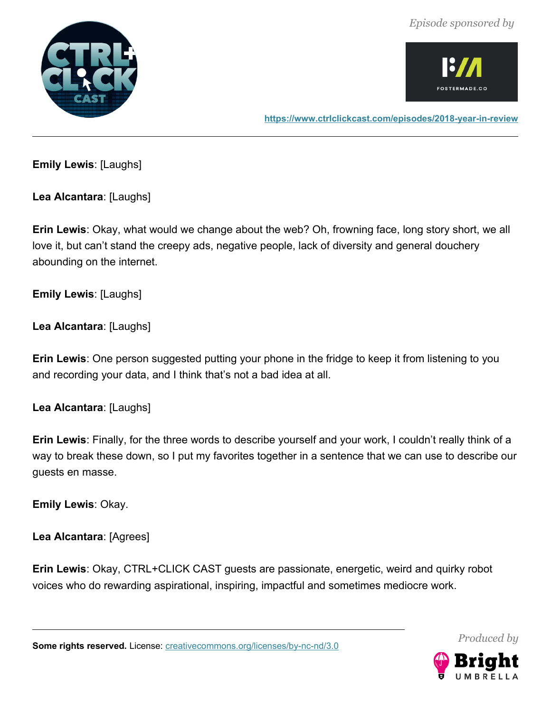



**<https://www.ctrlclickcast.com/episodes/2018-year-in-review>**

**Emily Lewis**: [Laughs]

**Lea Alcantara**: [Laughs]

**Erin Lewis**: Okay, what would we change about the web? Oh, frowning face, long story short, we all love it, but can't stand the creepy ads, negative people, lack of diversity and general douchery abounding on the internet.

**Emily Lewis**: [Laughs]

**Lea Alcantara**: [Laughs]

**Erin Lewis**: One person suggested putting your phone in the fridge to keep it from listening to you and recording your data, and I think that's not a bad idea at all.

**Lea Alcantara**: [Laughs]

**Erin Lewis**: Finally, for the three words to describe yourself and your work, I couldn't really think of a way to break these down, so I put my favorites together in a sentence that we can use to describe our guests en masse.

**Emily Lewis**: Okay.

**Lea Alcantara**: [Agrees]

**Erin Lewis**: Okay, CTRL+CLICK CAST guests are passionate, energetic, weird and quirky robot voices who do rewarding aspirational, inspiring, impactful and sometimes mediocre work.

Some rights reserved. License: [creativecommons.org/licenses/by-nc-nd/3.0](http://creativecommons.org/licenses/by-nc-nd/3.0/)

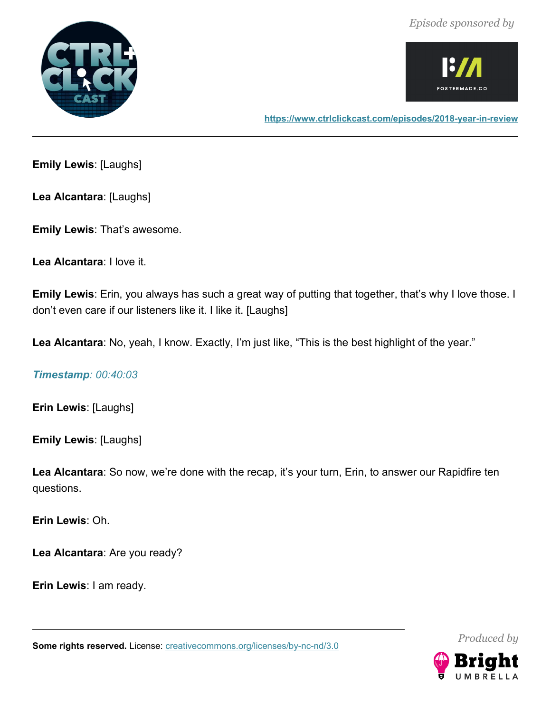



**Emily Lewis**: [Laughs]

**Lea Alcantara**: [Laughs]

**Emily Lewis**: That's awesome.

**Lea Alcantara**: I love it.

**Emily Lewis**: Erin, you always has such a great way of putting that together, that's why I love those. I don't even care if our listeners like it. I like it. [Laughs]

**Lea Alcantara**: No, yeah, I know. Exactly, I'm just like, "This is the best highlight of the year."

*Timestamp: 00:40:03*

**Erin Lewis**: [Laughs]

**Emily Lewis**: [Laughs]

Lea Alcantara: So now, we're done with the recap, it's your turn, Erin, to answer our Rapidfire ten questions.

**Erin Lewis**: Oh.

**Lea Alcantara**: Are you ready?

**Erin Lewis**: I am ready.

**Some rights reserved.** License: **creativecommons.org/licenses/by-nc-nd/3.0** 



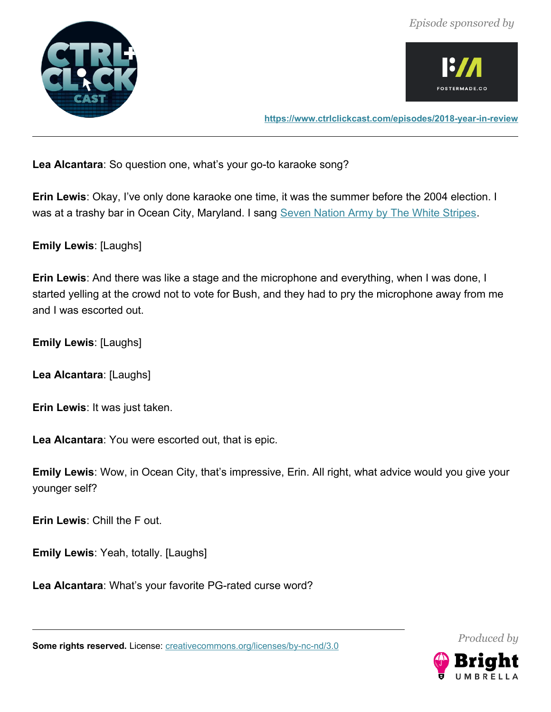



**Lea Alcantara**: So question one, what's your go-to karaoke song?

**Erin Lewis**: Okay, I've only done karaoke one time, it was the summer before the 2004 election. I was at a trashy bar in Ocean City, Maryland. I sang [Seven Nation Army by The White Stripes.](https://www.youtube.com/watch?v=0J2QdDbelmY)

**Emily Lewis**: [Laughs]

**Erin Lewis**: And there was like a stage and the microphone and everything, when I was done, I started yelling at the crowd not to vote for Bush, and they had to pry the microphone away from me and I was escorted out.

**Emily Lewis**: [Laughs]

**Lea Alcantara**: [Laughs]

**Erin Lewis**: It was just taken.

**Lea Alcantara**: You were escorted out, that is epic.

**Emily Lewis**: Wow, in Ocean City, that's impressive, Erin. All right, what advice would you give your younger self?

**Erin Lewis**: Chill the F out.

**Emily Lewis**: Yeah, totally. [Laughs]

**Lea Alcantara**: What's your favorite PG-rated curse word?

Some rights reserved. License: [creativecommons.org/licenses/by-nc-nd/3.0](http://creativecommons.org/licenses/by-nc-nd/3.0/)

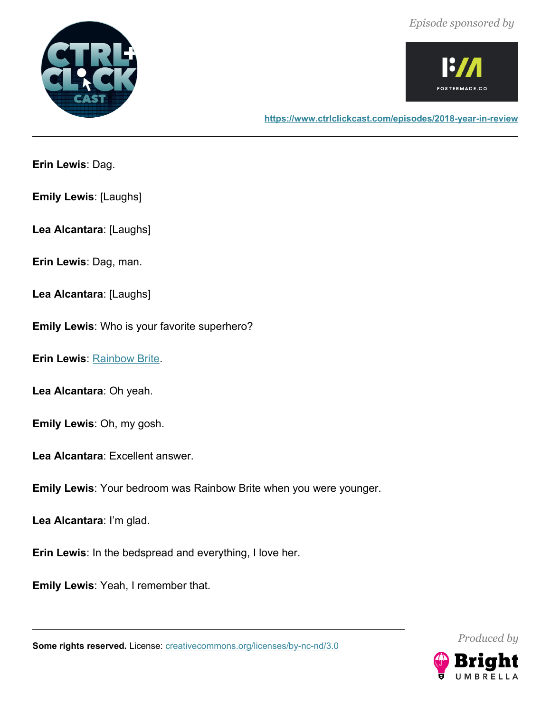



**Erin Lewis**: Dag.

**Emily Lewis**: [Laughs]

**Lea Alcantara**: [Laughs]

**Erin Lewis**: Dag, man.

**Lea Alcantara**: [Laughs]

**Emily Lewis**: Who is your favorite superhero?

**Erin Lewis**: [Rainbow Brite.](https://en.wikipedia.org/wiki/Rainbow_Brite)

**Lea Alcantara**: Oh yeah.

**Emily Lewis**: Oh, my gosh.

**Lea Alcantara**: Excellent answer.

**Emily Lewis**: Your bedroom was Rainbow Brite when you were younger.

**Lea Alcantara**: I'm glad.

**Erin Lewis**: In the bedspread and everything, I love her.

**Emily Lewis**: Yeah, I remember that.

**Some rights reserved.** License: **creativecommons.org/licenses/by-nc-nd/3.0** 



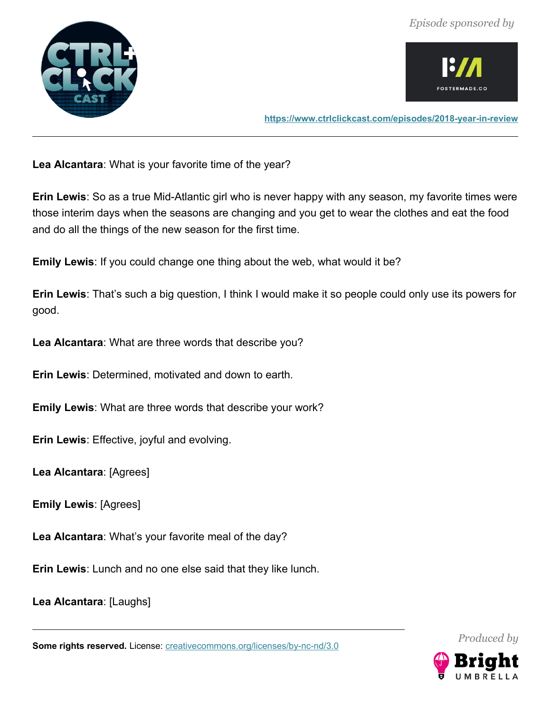



**Lea Alcantara**: What is your favorite time of the year?

**Erin Lewis**: So as a true Mid-Atlantic girl who is never happy with any season, my favorite times were those interim days when the seasons are changing and you get to wear the clothes and eat the food and do all the things of the new season for the first time.

**Emily Lewis**: If you could change one thing about the web, what would it be?

**Erin Lewis**: That's such a big question, I think I would make it so people could only use its powers for good.

**Lea Alcantara**: What are three words that describe you?

**Erin Lewis**: Determined, motivated and down to earth.

**Emily Lewis**: What are three words that describe your work?

**Erin Lewis**: Effective, joyful and evolving.

**Lea Alcantara**: [Agrees]

**Emily Lewis**: [Agrees]

**Lea Alcantara**: What's your favorite meal of the day?

**Erin Lewis**: Lunch and no one else said that they like lunch.

**Lea Alcantara**: [Laughs]

Some rights reserved. License: [creativecommons.org/licenses/by-nc-nd/3.0](http://creativecommons.org/licenses/by-nc-nd/3.0/)

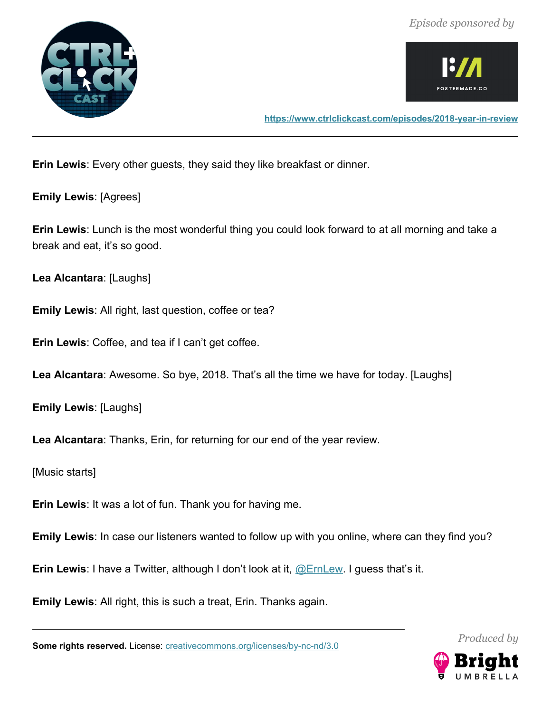



**<https://www.ctrlclickcast.com/episodes/2018-year-in-review>**

**Erin Lewis**: Every other guests, they said they like breakfast or dinner.

**Emily Lewis**: [Agrees]

**Erin Lewis**: Lunch is the most wonderful thing you could look forward to at all morning and take a break and eat, it's so good.

**Lea Alcantara**: [Laughs]

**Emily Lewis**: All right, last question, coffee or tea?

**Erin Lewis**: Coffee, and tea if I can't get coffee.

**Lea Alcantara**: Awesome. So bye, 2018. That's all the time we have for today. [Laughs]

**Emily Lewis**: [Laughs]

**Lea Alcantara**: Thanks, Erin, for returning for our end of the year review.

[Music starts]

**Erin Lewis**: It was a lot of fun. Thank you for having me.

**Emily Lewis**: In case our listeners wanted to follow up with you online, where can they find you?

**Erin Lewis**: I have a Twitter, although I don't look at it, [@ErnLew.](http://twitter.com/ernlew) I guess that's it.

**Emily Lewis**: All right, this is such a treat, Erin. Thanks again.

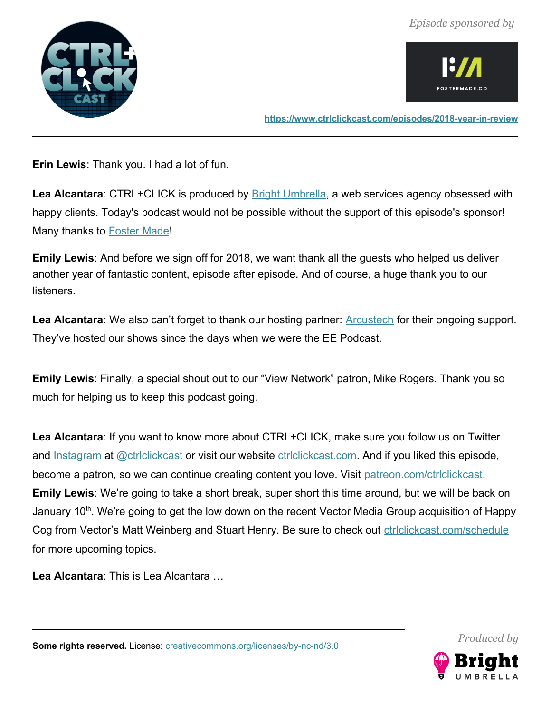



**<https://www.ctrlclickcast.com/episodes/2018-year-in-review>**

**Erin Lewis**: Thank you. I had a lot of fun.

Lea Alcantara: CTRL+CLICK is produced by **Bright Umbrella**, a web services agency obsessed with happy clients. Today's podcast would not be possible without the support of this episode's sponsor! Many thanks to [Foster Made!](http://fostermade.co/)

**Emily Lewis**: And before we sign off for 2018, we want thank all the guests who helped us deliver another year of fantastic content, episode after episode. And of course, a huge thank you to our listeners.

Lea Alcantara: We also can't forget to thank our hosting partner: **Arcustech** for their ongoing support. They've hosted our shows since the days when we were the EE Podcast.

**Emily Lewis**: Finally, a special shout out to our "View Network" patron, Mike Rogers. Thank you so much for helping us to keep this podcast going.

**Lea Alcantara**: If you want to know more about CTRL+CLICK, make sure you follow us on Twitter and [Instagram](http://instagram.com/ctrlclickcast) at @ctriclickcast or visit our website ctriclickcast.com. And if you liked this episode, become a patron, so we can continue creating content you love. Visit [patreon.com/ctrlclickcast.](http://www.patreon.com/ctrlclickcast) **Emily Lewis**: We're going to take a short break, super short this time around, but we will be back on January 10<sup>th</sup>. We're going to get the low down on the recent Vector Media Group acquisition of Happy Cog from Vector's Matt Weinberg and Stuart Henry. Be sure to check out [ctrlclickcast.com/schedule](http://ctrlclickcast.com/schedule) for more upcoming topics.

**Lea Alcantara**: This is Lea Alcantara …